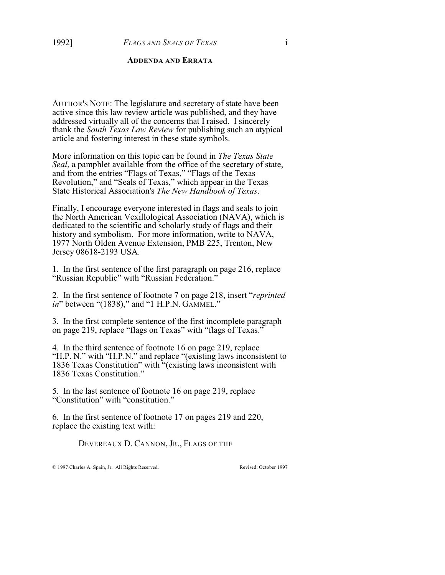#### **ADDENDA AND ERRATA**

AUTHOR'S NOTE: The legislature and secretary of state have been active since this law review article was published, and they have addressed virtually all of the concerns that I raised. I sincerely thank the *South Texas Law Review* for publishing such an atypical article and fostering interest in these state symbols.

More information on this topic can be found in *The Texas State Seal*, a pamphlet available from the office of the secretary of state, and from the entries "Flags of Texas," "Flags of the Texas Revolution," and "Seals of Texas," which appear in the Texas State Historical Association's *The New Handbook of Texas*.

Finally, I encourage everyone interested in flags and seals to join the North American Vexillological Association (NAVA), which is dedicated to the scientific and scholarly study of flags and their history and symbolism. For more information, write to NAVA, 1977 North Olden Avenue Extension, PMB 225, Trenton, New Jersey 08618-2193 USA.

1. In the first sentence of the first paragraph on page 216, replace "Russian Republic" with "Russian Federation."

2. In the first sentence of footnote 7 on page 218, insert "*reprinted in*" between "(1838)," and "1 H.P.N. GAMMEL."

3. In the first complete sentence of the first incomplete paragraph on page 219, replace "flags on Texas" with "flags of Texas."

4. In the third sentence of footnote 16 on page 219, replace "H.P. N." with "H.P.N." and replace "(existing laws inconsistent to 1836 Texas Constitution" with "(existing laws inconsistent with 1836 Texas Constitution."

5. In the last sentence of footnote 16 on page 219, replace "Constitution" with "constitution."

6. In the first sentence of footnote 17 on pages 219 and 220, replace the existing text with:

DEVEREAUX D. CANNON, JR., FLAGS OF THE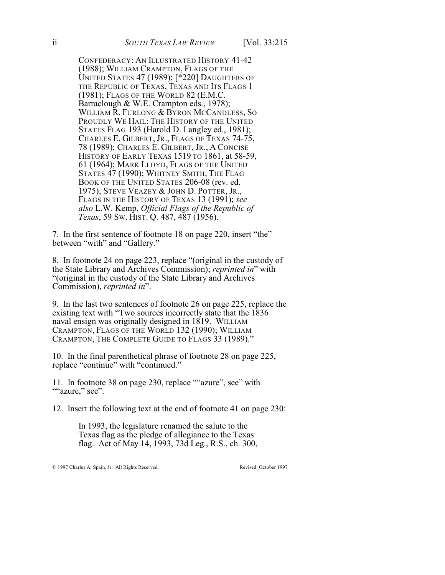CONFEDERACY: AN ILLUSTRATED HISTORY 41-42 (1988); WILLIAM CRAMPTON, FLAGS OF THE UNITED STATES 47 (1989); [\*220] DAUGHTERS OF THE REPUBLIC OF TEXAS, TEXAS AND ITS FLAGS 1 (1981); FLAGS OF THE WORLD 82 (E.M.C. Barraclough & W.E. Crampton eds., 1978); WILLIAM R. FURLONG & BYRON MCCANDLESS, SO PROUDLY WE HAIL: THE HISTORY OF THE UNITED STATES FLAG 193 (Harold D. Langley ed., 1981); CHARLES E. GILBERT, JR., FLAGS OF TEXAS 74-75, 78 (1989); CHARLES E. GILBERT, JR., A CONCISE HISTORY OF EARLY TEXAS 1519 TO 1861, at 58-59, 61 (1964); MARK LLOYD, FLAGS OF THE UNITED STATES 47 (1990); WHITNEY SMITH, THE FLAG BOOK OF THE UNITED STATES 206-08 (rev. ed. 1975); STEVE VEAZEY & JOHN D. POTTER, JR., FLAGS IN THE HISTORY OF TEXAS 13 (1991); *see also* L.W. Kemp, *Official Flags of the Republic of Texas*, 59 SW. HIST. Q. 487, 487 (1956).

7. In the first sentence of footnote 18 on page 220, insert "the" between "with" and "Gallery."

8. In footnote 24 on page 223, replace "(original in the custody of the State Library and Archives Commission); *reprinted in*" with "(original in the custody of the State Library and Archives Commission), *reprinted in*".

9. In the last two sentences of footnote 26 on page 225, replace the existing text with "Two sources incorrectly state that the 1836 naval ensign was originally designed in 1819. WILLIAM CRAMPTON, FLAGS OF THE WORLD 132 (1990); WILLIAM CRAMPTON, THE COMPLETE GUIDE TO FLAGS 33 (1989)."

10. In the final parenthetical phrase of footnote 28 on page 225, replace "continue" with "continued."

11. In footnote 38 on page 230, replace ""azure", see" with ""azure," see".

12. Insert the following text at the end of footnote 41 on page 230:

In 1993, the legislature renamed the salute to the Texas flag as the pledge of allegiance to the Texas flag. Act of May 14, 1993, 73d Leg., R.S., ch. 300,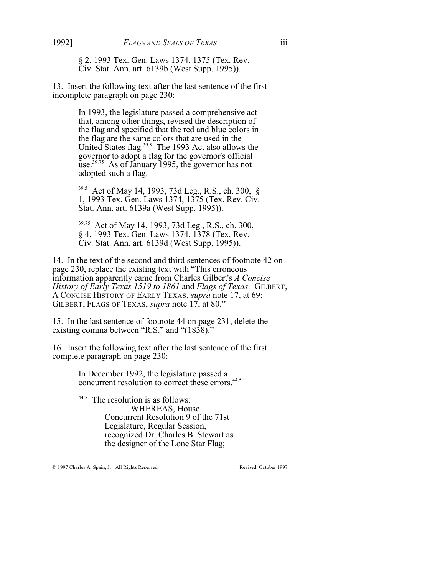§ 2, 1993 Tex. Gen. Laws 1374, 1375 (Tex. Rev. Civ. Stat. Ann. art. 6139b (West Supp. 1995)).

13. Insert the following text after the last sentence of the first incomplete paragraph on page 230:

> In 1993, the legislature passed a comprehensive act that, among other things, revised the description of the flag and specified that the red and blue colors in the flag are the same colors that are used in the United States flag. $39.5$  The 1993 Act also allows the governor to adopt a flag for the governor's official use.<sup>39.75</sup> As of January 1995, the governor has not adopted such a flag.

> <sup>39.5</sup> Act of May 14, 1993, 73d Leg., R.S., ch. 300, § 1, 1993 Tex. Gen. Laws 1374, 1375 (Tex. Rev. Civ. Stat. Ann. art. 6139a (West Supp. 1995)).

<sup>39.75</sup> Act of May 14, 1993, 73d Leg., R.S., ch. 300, § 4, 1993 Tex. Gen. Laws 1374, 1378 (Tex. Rev. Civ. Stat. Ann. art. 6139d (West Supp. 1995)).

14. In the text of the second and third sentences of footnote 42 on page 230, replace the existing text with "This erroneous information apparently came from Charles Gilbert's *A Concise History of Early Texas 1519 to 1861* and *Flags of Texas*. GILBERT, A CONCISE HISTORY OF EARLY TEXAS, *supra* note 17, at 69; GILBERT, FLAGS OF TEXAS, *supra* note 17, at 80."

15. In the last sentence of footnote 44 on page 231, delete the existing comma between "R.S." and "(1838)."

16. Insert the following text after the last sentence of the first complete paragraph on page 230:

> In December 1992, the legislature passed a concurrent resolution to correct these errors.<sup>44.5</sup>

<sup>44.5</sup> The resolution is as follows: WHEREAS, House Concurrent Resolution 9 of the 71st Legislature, Regular Session, recognized Dr. Charles B. Stewart as the designer of the Lone Star Flag;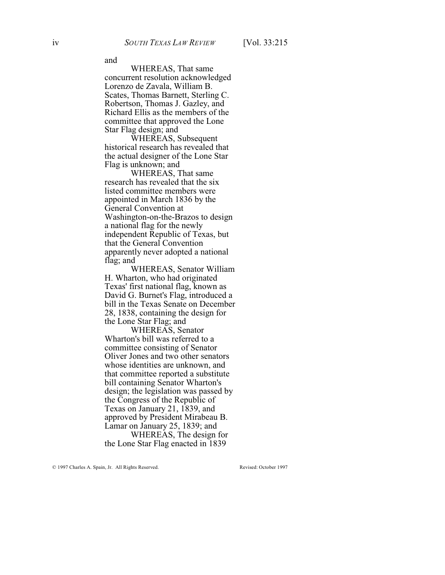and

WHEREAS, That same concurrent resolution acknowledged Lorenzo de Zavala, William B. Scates, Thomas Barnett, Sterling C. Robertson, Thomas J. Gazley, and Richard Ellis as the members of the committee that approved the Lone Star Flag design; and

WHEREAS, Subsequent historical research has revealed that the actual designer of the Lone Star Flag is unknown; and

WHEREAS, That same research has revealed that the six listed committee members were appointed in March 1836 by the General Convention at Washington-on-the-Brazos to design a national flag for the newly independent Republic of Texas, but that the General Convention apparently never adopted a national flag; and

WHEREAS, Senator William H. Wharton, who had originated Texas' first national flag, known as David G. Burnet's Flag, introduced a bill in the Texas Senate on December 28, 1838, containing the design for the Lone Star Flag; and

WHEREAS, Senator Wharton's bill was referred to a committee consisting of Senator Oliver Jones and two other senators whose identities are unknown, and that committee reported a substitute bill containing Senator Wharton's design; the legislation was passed by the Congress of the Republic of Texas on January 21, 1839, and approved by President Mirabeau B. Lamar on January 25, 1839; and

WHEREAS, The design for the Lone Star Flag enacted in 1839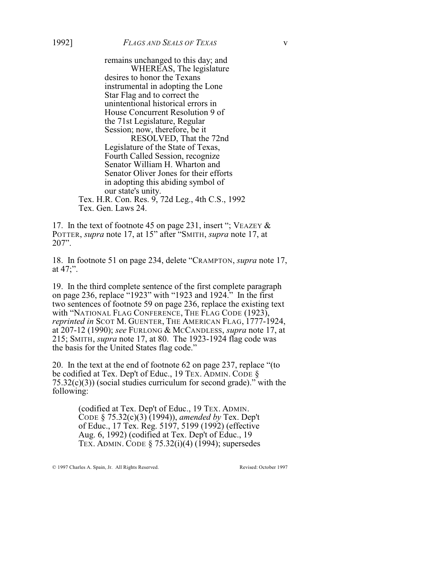remains unchanged to this day; and WHEREAS, The legislature desires to honor the Texans instrumental in adopting the Lone Star Flag and to correct the unintentional historical errors in House Concurrent Resolution 9 of the 71st Legislature, Regular Session; now, therefore, be it RESOLVED, That the 72nd

Legislature of the State of Texas, Fourth Called Session, recognize Senator William H. Wharton and Senator Oliver Jones for their efforts in adopting this abiding symbol of our state's unity.

Tex. H.R. Con. Res. 9, 72d Leg., 4th C.S., 1992 Tex. Gen. Laws 24.

17. In the text of footnote 45 on page 231, insert "; VEAZEY & POTTER, *supra* note 17, at 15" after "SMITH, *supra* note 17, at 207".

18. In footnote 51 on page 234, delete "CRAMPTON, *supra* note 17, at 47;".

19. In the third complete sentence of the first complete paragraph on page 236, replace "1923" with "1923 and 1924." In the first two sentences of footnote 59 on page 236, replace the existing text with "NATIONAL FLAG CONFERENCE, THE FLAG CODE (1923), *reprinted in* SCOT M. GUENTER, THE AMERICAN FLAG, 1777-1924, at 207-12 (1990); *see* FURLONG & MCCANDLESS, *supra* note 17, at 215; SMITH, *supra* note 17, at 80. The 1923-1924 flag code was the basis for the United States flag code."

20. In the text at the end of footnote 62 on page 237, replace "(to be codified at Tex. Dep't of Educ., 19 TEX. ADMIN. CODE §  $75.32(c)(3)$ ) (social studies curriculum for second grade)." with the following:

> (codified at Tex. Dep't of Educ., 19 TEX. ADMIN. CODE § 75.32(c)(3) (1994)), *amended by* Tex. Dep't of Educ., 17 Tex. Reg. 5197, 5199 (1992) (effective Aug. 6, 1992) (codified at Tex. Dep't of Educ., 19 TEX. ADMIN. CODE § 75.32(i)(4) (1994); supersedes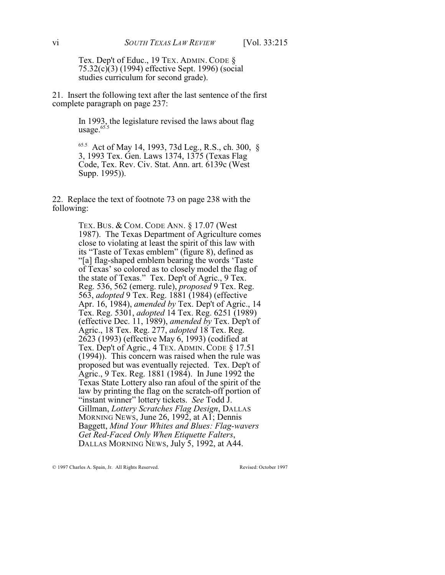Tex. Dep't of Educ., 19 TEX. ADMIN. CODE § 75.32(c)(3) (1994) effective Sept. 1996) (social studies curriculum for second grade).

21. Insert the following text after the last sentence of the first complete paragraph on page 237:

> In 1993, the legislature revised the laws about flag usage.<sup>65.5</sup>

65.5 Act of May 14, 1993, 73d Leg., R.S., ch. 300, § 3, 1993 Tex. Gen. Laws 1374, 1375 (Texas Flag Code, Tex. Rev. Civ. Stat. Ann. art. 6139c (West Supp. 1995)).

22. Replace the text of footnote 73 on page 238 with the following:

> TEX. BUS. & COM. CODE ANN. § 17.07 (West 1987). The Texas Department of Agriculture comes close to violating at least the spirit of this law with its "Taste of Texas emblem" (figure 8), defined as "[a] flag-shaped emblem bearing the words 'Taste of Texas' so colored as to closely model the flag of the state of Texas." Tex. Dep't of Agric., 9 Tex. Reg. 536, 562 (emerg. rule), *proposed* 9 Tex. Reg. 563, *adopted* 9 Tex. Reg. 1881 (1984) (effective Apr. 16, 1984), *amended by* Tex. Dep't of Agric., 14 Tex. Reg. 5301, *adopted* 14 Tex. Reg. 6251 (1989) (effective Dec. 11, 1989), *amended by* Tex. Dep't of Agric., 18 Tex. Reg. 277, *adopted* 18 Tex. Reg. 2623 (1993) (effective May 6, 1993) (codified at Tex. Dep't of Agric., 4 TEX. ADMIN. CODE § 17.51 (1994)). This concern was raised when the rule was proposed but was eventually rejected. Tex. Dep't of Agric., 9 Tex. Reg. 1881 (1984). In June 1992 the Texas State Lottery also ran afoul of the spirit of the law by printing the flag on the scratch-off portion of "instant winner" lottery tickets. *See* Todd J. Gillman, *Lottery Scratches Flag Design*, DALLAS MORNING NEWS, June 26, 1992, at A1; Dennis Baggett, *Mind Your Whites and Blues: Flag-wavers Get Red-Faced Only When Etiquette Falters*, DALLAS MORNING NEWS, July 5, 1992, at A44.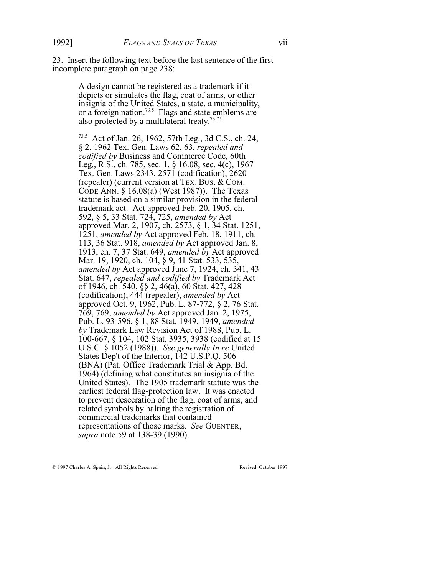23. Insert the following text before the last sentence of the first incomplete paragraph on page 238:

> A design cannot be registered as a trademark if it depicts or simulates the flag, coat of arms, or other insignia of the United States, a state, a municipality, or a foreign nation.<sup>73.5</sup> Flags and state emblems are also protected by a multilateral treaty.<sup>73.75</sup>

73.5 Act of Jan. 26, 1962, 57th Leg., 3d C.S., ch. 24, § 2, 1962 Tex. Gen. Laws 62, 63, *repealed and codified by* Business and Commerce Code, 60th Leg., R.S., ch. 785, sec. 1, § 16.08, sec. 4(c), 1967 Tex. Gen. Laws 2343, 2571 (codification), 2620 (repealer) (current version at TEX. BUS. & COM. CODE ANN. § 16.08(a) (West 1987)). The Texas statute is based on a similar provision in the federal trademark act. Act approved Feb. 20, 1905, ch. 592, § 5, 33 Stat. 724, 725, *amended by* Act approved Mar. 2, 1907, ch. 2573, § 1, 34 Stat. 1251, 1251, *amended by* Act approved Feb. 18, 1911, ch. 113, 36 Stat. 918, *amended by* Act approved Jan. 8, 1913, ch. 7, 37 Stat. 649, *amended by* Act approved Mar. 19, 1920, ch. 104, § 9, 41 Stat. 533, 535, *amended by* Act approved June 7, 1924, ch. 341, 43 Stat. 647, *repealed and codified by* Trademark Act of 1946, ch. 540, §§ 2, 46(a), 60 Stat. 427, 428 (codification), 444 (repealer), *amended by* Act approved Oct. 9, 1962, Pub. L. 87-772, § 2, 76 Stat. 769, 769, *amended by* Act approved Jan. 2, 1975, Pub. L. 93-596, § 1, 88 Stat. 1949, 1949, *amended by* Trademark Law Revision Act of 1988, Pub. L. 100-667, § 104, 102 Stat. 3935, 3938 (codified at 15 U.S.C. § 1052 (1988)). *See generally In re* United States Dep't of the Interior, 142 U.S.P.Q. 506 (BNA) (Pat. Office Trademark Trial & App. Bd. 1964) (defining what constitutes an insignia of the United States). The 1905 trademark statute was the earliest federal flag-protection law. It was enacted to prevent desecration of the flag, coat of arms, and related symbols by halting the registration of commercial trademarks that contained representations of those marks. *See* GUENTER, *supra* note 59 at 138-39 (1990).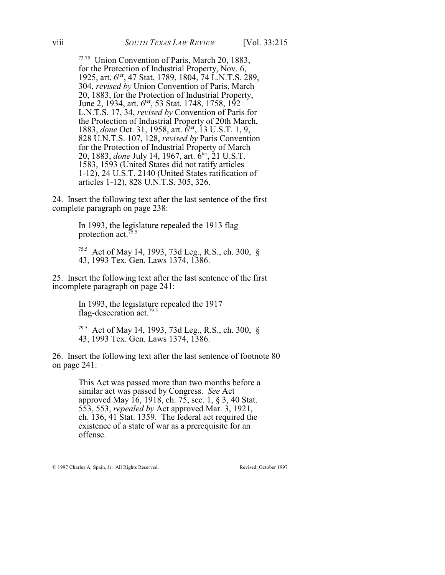<sup>73.75</sup> Union Convention of Paris, March 20, 1883, for the Protection of Industrial Property, Nov. 6, 1925, art. 6<sup>ter</sup>, 47 Stat. 1789, 1804, 74 L.N.T.S. 289, 304, *revised by* Union Convention of Paris, March 20, 1883, for the Protection of Industrial Property, June 2, 1934, art. 6<sup>ter</sup>, 53 Stat. 1748, 1758, 192 L.N.T.S. 17, 34, *revised by* Convention of Paris for the Protection of Industrial Property of 20th March, 1883, *done* Oct. 31, 1958, art.  $\vec{6}^{\text{ter}},$  13 U.S.T. 1, 9, 828 U.N.T.S. 107, 128, *revised by* Paris Convention for the Protection of Industrial Property of March 20, 1883, *done* July 14, 1967, art.  $\hat{6}^{\text{ter}}, 21 \text{ U.S.T.}$ 1583, 1593 (United States did not ratify articles 1-12), 24 U.S.T. 2140 (United States ratification of articles 1-12), 828 U.N.T.S. 305, 326.

24. Insert the following text after the last sentence of the first complete paragraph on page 238:

> In 1993, the legislature repealed the 1913 flag protection act.<sup>75.5</sup>

75.5 Act of May 14, 1993, 73d Leg., R.S., ch. 300, § 43, 1993 Tex. Gen. Laws 1374, 1386.

25. Insert the following text after the last sentence of the first incomplete paragraph on page 241:

> In 1993, the legislature repealed the 1917 flag-desecration act.<sup>79.5</sup>

79.5 Act of May 14, 1993, 73d Leg., R.S., ch. 300, § 43, 1993 Tex. Gen. Laws 1374, 1386.

26. Insert the following text after the last sentence of footnote 80 on page 241:

> This Act was passed more than two months before a similar act was passed by Congress. *See* Act approved May 16, 1918, ch. 75, sec. 1, § 3, 40 Stat. 553, 553, *repealed by* Act approved Mar. 3, 1921, ch. 136, 41 Stat. 1359. The federal act required the existence of a state of war as a prerequisite for an offense.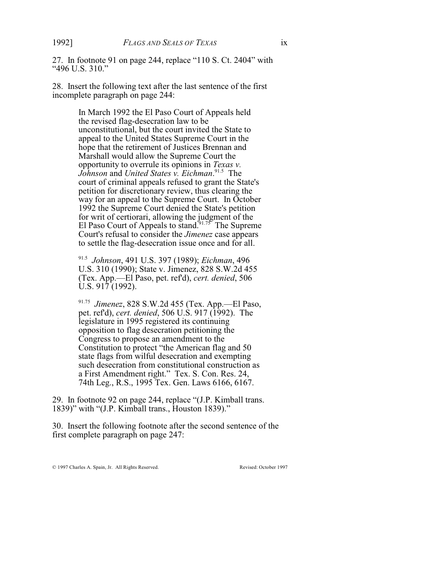27. In footnote 91 on page 244, replace "110 S. Ct. 2404" with "496 U.S. 310."

28. Insert the following text after the last sentence of the first incomplete paragraph on page 244:

> In March 1992 the El Paso Court of Appeals held the revised flag-desecration law to be unconstitutional, but the court invited the State to appeal to the United States Supreme Court in the hope that the retirement of Justices Brennan and Marshall would allow the Supreme Court the opportunity to overrule its opinions in *Texas v. Johnson* and *United States v. Eichman*.<sup>91.5</sup> The court of criminal appeals refused to grant the State's petition for discretionary review, thus clearing the way for an appeal to the Supreme Court. In October 1992 the Supreme Court denied the State's petition for writ of certiorari, allowing the judgment of the El Paso Court of Appeals to stand.  $\frac{1}{91.75}$  The Supreme Court's refusal to consider the *Jimenez* case appears to settle the flag-desecration issue once and for all.

<sup>91.5</sup> Johnson, 491 U.S. 397 (1989); *Eichman*, 496 U.S. 310 (1990); State v. Jimenez, 828 S.W.2d 455 (Tex. App.—El Paso, pet. ref'd), *cert. denied*, 506 U.S. 917 (1992).

<sup>91.75</sup> Jimenez, 828 S.W.2d 455 (Tex. App.—El Paso, pet. ref'd), *cert. denied*, 506 U.S. 917 (1992). The legislature in 1995 registered its continuing opposition to flag desecration petitioning the Congress to propose an amendment to the Constitution to protect "the American flag and 50 state flags from wilful desecration and exempting such desecration from constitutional construction as a First Amendment right." Tex. S. Con. Res. 24, 74th Leg., R.S., 1995 Tex. Gen. Laws 6166, 6167.

29. In footnote 92 on page 244, replace "(J.P. Kimball trans. 1839)" with "(J.P. Kimball trans., Houston 1839)."

30. Insert the following footnote after the second sentence of the first complete paragraph on page 247: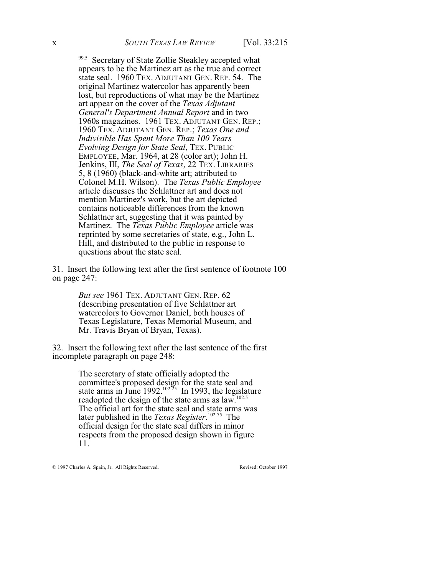99.5 Secretary of State Zollie Steakley accepted what appears to be the Martinez art as the true and correct state seal. 1960 TEX. ADJUTANT GEN. REP. 54. The original Martinez watercolor has apparently been lost, but reproductions of what may be the Martinez art appear on the cover of the *Texas Adjutant General's Department Annual Report* and in two 1960s magazines. 1961 TEX. ADJUTANT GEN. REP.; 1960 TEX. ADJUTANT GEN. REP.; *Texas One and Indivisible Has Spent More Than 100 Years Evolving Design for State Seal*, TEX. PUBLIC EMPLOYEE, Mar. 1964, at 28 (color art); John H. Jenkins, III, *The Seal of Texas*, 22 TEX. LIBRARIES 5, 8 (1960) (black-and-white art; attributed to Colonel M.H. Wilson). The *Texas Public Employee* article discusses the Schlattner art and does not mention Martinez's work, but the art depicted contains noticeable differences from the known Schlattner art, suggesting that it was painted by Martinez. The *Texas Public Employee* article was reprinted by some secretaries of state, e.g., John L. Hill, and distributed to the public in response to questions about the state seal.

31. Insert the following text after the first sentence of footnote 100 on page 247:

> *But see* 1961 TEX. ADJUTANT GEN. REP. 62 (describing presentation of five Schlattner art watercolors to Governor Daniel, both houses of Texas Legislature, Texas Memorial Museum, and Mr. Travis Bryan of Bryan, Texas).

32. Insert the following text after the last sentence of the first incomplete paragraph on page 248:

> The secretary of state officially adopted the committee's proposed design for the state seal and state arms in June  $1992$ .<sup>102.25</sup> In 1993, the legislature readopted the design of the state arms as law.102.5 The official art for the state seal and state arms was later published in the *Texas Register*.<sup>102.75</sup> The official design for the state seal differs in minor respects from the proposed design shown in figure 11.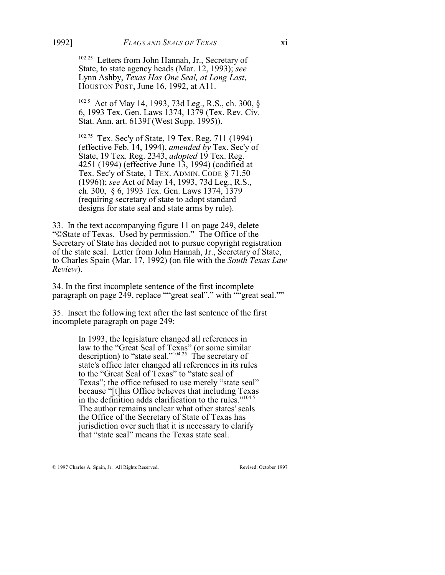<sup>102.25</sup> Letters from John Hannah, Jr., Secretary of State, to state agency heads (Mar. 12, 1993); *see* Lynn Ashby, *Texas Has One Seal, at Long Last*, HOUSTON POST, June 16, 1992, at A11.

<sup>102.5</sup> Act of May 14, 1993, 73d Leg., R.S., ch. 300, § 6, 1993 Tex. Gen. Laws 1374, 1379 (Tex. Rev. Civ. Stat. Ann. art. 6139f (West Supp. 1995)).

<sup>102.75</sup> Tex. Sec'y of State, 19 Tex. Reg. 711 (1994) (effective Feb. 14, 1994), *amended by* Tex. Sec'y of State, 19 Tex. Reg. 2343, *adopted* 19 Tex. Reg. 4251 (1994) (effective June 13, 1994) (codified at Tex. Sec'y of State, 1 TEX. ADMIN. CODE § 71.50 (1996)); *see* Act of May 14, 1993, 73d Leg., R.S., ch. 300, § 6, 1993 Tex. Gen. Laws 1374, 1379 (requiring secretary of state to adopt standard designs for state seal and state arms by rule).

33. In the text accompanying figure 11 on page 249, delete "©State of Texas. Used by permission." The Office of the Secretary of State has decided not to pursue copyright registration of the state seal. Letter from John Hannah, Jr., Secretary of State, to Charles Spain (Mar. 17, 1992) (on file with the *South Texas Law Review*).

34. In the first incomplete sentence of the first incomplete paragraph on page 249, replace ""great seal"." with "great seal.""

35. Insert the following text after the last sentence of the first incomplete paragraph on page 249:

> In 1993, the legislature changed all references in law to the "Great Seal of Texas" (or some similar description) to "state seal."<sup> $104.25$ </sup> The secretary of state's office later changed all references in its rules to the "Great Seal of Texas" to "state seal of Texas"; the office refused to use merely "state seal" because "[t]his Office believes that including Texas in the definition adds clarification to the rules."<sup>104.5</sup> The author remains unclear what other states' seals the Office of the Secretary of State of Texas has jurisdiction over such that it is necessary to clarify that "state seal" means the Texas state seal.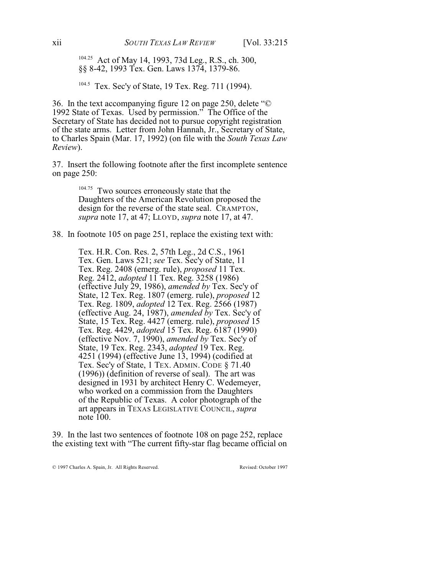<sup>104.25</sup> Act of May 14, 1993, 73d Leg., R.S., ch. 300, §§ 8-42, 1993 Tex. Gen. Laws 1374, 1379-86.

 $104.5$  Tex. Sec'y of State, 19 Tex. Reg. 711 (1994).

36. In the text accompanying figure 12 on page 250, delete "© 1992 State of Texas. Used by permission." The Office of the Secretary of State has decided not to pursue copyright registration of the state arms. Letter from John Hannah, Jr., Secretary of State, to Charles Spain (Mar. 17, 1992) (on file with the *South Texas Law Review*).

37. Insert the following footnote after the first incomplete sentence on page 250:

> $104.75$  Two sources erroneously state that the Daughters of the American Revolution proposed the design for the reverse of the state seal. CRAMPTON, *supra* note 17, at 47; LLOYD, *supra* note 17, at 47.

38. In footnote 105 on page 251, replace the existing text with:

Tex. H.R. Con. Res. 2, 57th Leg., 2d C.S., 1961 Tex. Gen. Laws 521; *see* Tex. Sec'y of State, 11 Tex. Reg. 2408 (emerg. rule), *proposed* 11 Tex. Reg. 2412, *adopted* 11 Tex. Reg. 3258 (1986) (effective July 29, 1986), *amended by* Tex. Sec'y of State, 12 Tex. Reg. 1807 (emerg. rule), *proposed* 12 Tex. Reg. 1809, *adopted* 12 Tex. Reg. 2566 (1987) (effective Aug. 24, 1987), *amended by* Tex. Sec'y of State, 15 Tex. Reg. 4427 (emerg. rule), *proposed* 15 Tex. Reg. 4429, *adopted* 15 Tex. Reg. 6187 (1990) (effective Nov. 7, 1990), *amended by* Tex. Sec'y of State, 19 Tex. Reg. 2343, *adopted* 19 Tex. Reg. 4251 (1994) (effective June 13, 1994) (codified at Tex. Sec'y of State, 1 TEX. ADMIN. CODE § 71.40 (1996)) (definition of reverse of seal). The art was designed in 1931 by architect Henry C. Wedemeyer, who worked on a commission from the Daughters of the Republic of Texas. A color photograph of the art appears in TEXAS LEGISLATIVE COUNCIL, *supra* note 100.

39. In the last two sentences of footnote 108 on page 252, replace the existing text with "The current fifty-star flag became official on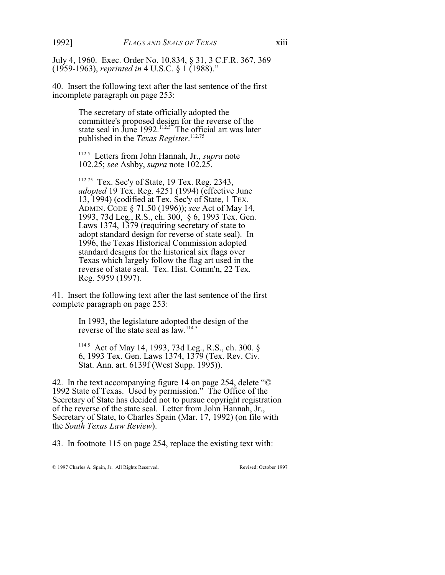July 4, 1960. Exec. Order No. 10,834, § 31, 3 C.F.R. 367, 369 (1959-1963), *reprinted in* 4 U.S.C. § 1 (1988)."

40. Insert the following text after the last sentence of the first incomplete paragraph on page 253:

> The secretary of state officially adopted the committee's proposed design for the reverse of the state seal in June 1992.<sup>112.5</sup> The official art was later published in the *Texas Register*. 112.75

<sup>112.5</sup> Letters from John Hannah, Jr., *supra* note 102.25; *see* Ashby, *supra* note 102.25.

<sup>112.75</sup> Tex. Sec'y of State, 19 Tex. Reg. 2343, *adopted* 19 Tex. Reg. 4251 (1994) (effective June 13, 1994) (codified at Tex. Sec'y of State, 1 TEX. ADMIN. CODE § 71.50 (1996)); *see* Act of May 14, 1993, 73d Leg., R.S., ch. 300, § 6, 1993 Tex. Gen. Laws 1374, 1379 (requiring secretary of state to adopt standard design for reverse of state seal). In 1996, the Texas Historical Commission adopted standard designs for the historical six flags over Texas which largely follow the flag art used in the reverse of state seal. Tex. Hist. Comm'n, 22 Tex. Reg. 5959 (1997).

41. Insert the following text after the last sentence of the first complete paragraph on page 253:

> In 1993, the legislature adopted the design of the reverse of the state seal as law.<sup>114.5</sup>

<sup>114.5</sup> Act of May 14, 1993, 73d Leg., R.S., ch. 300. § 6, 1993 Tex. Gen. Laws 1374, 1379 (Tex. Rev. Civ. Stat. Ann. art. 6139f (West Supp. 1995)).

42. In the text accompanying figure 14 on page 254, delete "© 1992 State of Texas. Used by permission." The Office of the Secretary of State has decided not to pursue copyright registration of the reverse of the state seal. Letter from John Hannah, Jr., Secretary of State, to Charles Spain (Mar. 17, 1992) (on file with the *South Texas Law Review*).

43. In footnote 115 on page 254, replace the existing text with: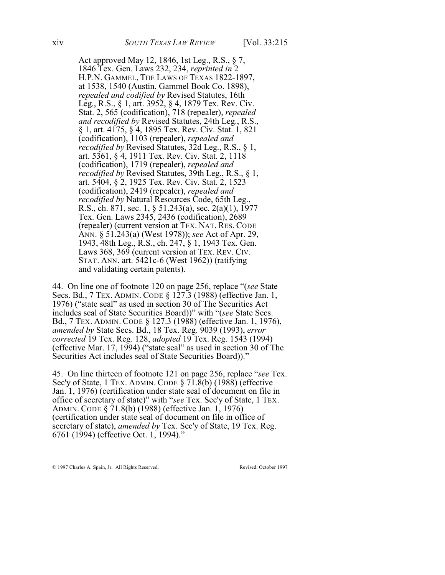Act approved May 12, 1846, 1st Leg., R.S., § 7, 1846 Tex. Gen. Laws 232, 234, *reprinted in* 2 H.P.N. GAMMEL, THE LAWS OF TEXAS 1822-1897, at 1538, 1540 (Austin, Gammel Book Co. 1898), *repealed and codified by* Revised Statutes, 16th Leg., R.S., § 1, art. 3952, § 4, 1879 Tex. Rev. Civ. Stat. 2, 565 (codification), 718 (repealer), *repealed and recodified by* Revised Statutes, 24th Leg., R.S., § 1, art. 4175, § 4, 1895 Tex. Rev. Civ. Stat. 1, 821 (codification), 1103 (repealer), *repealed and recodified by* Revised Statutes, 32d Leg., R.S., § 1, art. 5361, § 4, 1911 Tex. Rev. Civ. Stat. 2, 1118 (codification), 1719 (repealer), *repealed and recodified by* Revised Statutes, 39th Leg., R.S., § 1, art. 5404, § 2, 1925 Tex. Rev. Civ. Stat. 2, 1523 (codification), 2419 (repealer), *repealed and recodified by* Natural Resources Code, 65th Leg., R.S., ch. 871, sec. 1, § 51.243(a), sec. 2(a)(1), 1977 Tex. Gen. Laws 2345, 2436 (codification), 2689 (repealer) (current version at TEX. NAT. RES. CODE ANN. § 51.243(a) (West 1978)); *see* Act of Apr. 29, 1943, 48th Leg., R.S., ch. 247, § 1, 1943 Tex. Gen. Laws 368, 369 (current version at TEX. REV. CIV. STAT. ANN. art. 5421c-6 (West 1962)) (ratifying and validating certain patents).

44. On line one of footnote 120 on page 256, replace "(*see* State Secs. Bd., 7 TEX. ADMIN. CODE § 127.3 (1988) (effective Jan. 1, 1976) ("state seal" as used in section 30 of The Securities Act includes seal of State Securities Board))" with "(*see* State Secs. Bd., 7 TEX. ADMIN. CODE § 127.3 (1988) (effective Jan. 1, 1976), *amended by* State Secs. Bd., 18 Tex. Reg. 9039 (1993), *error corrected* 19 Tex. Reg. 128, *adopted* 19 Tex. Reg. 1543 (1994) (effective Mar. 17, 1994) ("state seal" as used in section 30 of The Securities Act includes seal of State Securities Board))."

45. On line thirteen of footnote 121 on page 256, replace "*see* Tex. Sec'y of State, 1 TEX. ADMIN. CODE § 71.8(b) (1988) (effective Jan. 1, 1976) (certification under state seal of document on file in office of secretary of state)" with "*see* Tex. Sec'y of State, 1 TEX. ADMIN. CODE § 71.8(b) (1988) (effective Jan. 1, 1976) (certification under state seal of document on file in office of secretary of state), *amended by* Tex. Sec'y of State, 19 Tex. Reg. 6761 (1994) (effective Oct. 1, 1994)."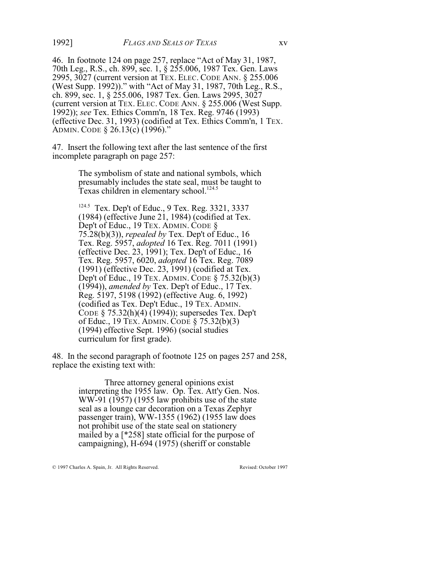46. In footnote 124 on page 257, replace "Act of May 31, 1987, 70th Leg., R.S., ch. 899, sec. 1, § 255.006, 1987 Tex. Gen. Laws 2995, 3027 (current version at TEX. ELEC. CODE ANN. § 255.006 (West Supp. 1992))." with "Act of May 31, 1987, 70th Leg., R.S., ch. 899, sec. 1, § 255.006, 1987 Tex. Gen. Laws 2995, 3027 (current version at TEX. ELEC. CODE ANN. § 255.006 (West Supp. 1992)); *see* Tex. Ethics Comm'n, 18 Tex. Reg. 9746 (1993) (effective Dec. 31, 1993) (codified at Tex. Ethics Comm'n, 1 TEX. ADMIN. CODE § 26.13(c) (1996)."

47. Insert the following text after the last sentence of the first incomplete paragraph on page 257:

> The symbolism of state and national symbols, which presumably includes the state seal, must be taught to Texas children in elementary school.<sup>124.5</sup>

> <sup>124.5</sup> Tex. Dep't of Educ., 9 Tex. Reg. 3321, 3337 (1984) (effective June 21, 1984) (codified at Tex. Dep't of Educ., 19 TEX. ADMIN. CODE § 75.28(b)(3)), *repealed by* Tex. Dep't of Educ., 16 Tex. Reg. 5957, *adopted* 16 Tex. Reg. 7011 (1991) (effective Dec. 23, 1991); Tex. Dep't of Educ., 16 Tex. Reg. 5957, 6020, *adopted* 16 Tex. Reg. 7089 (1991) (effective Dec. 23, 1991) (codified at Tex. Dep't of Educ., 19 TEX. ADMIN. CODE § 75.32(b)(3) (1994)), *amended by* Tex. Dep't of Educ., 17 Tex. Reg. 5197, 5198 (1992) (effective Aug. 6, 1992) (codified as Tex. Dep't Educ., 19 TEX. ADMIN. CODE § 75.32(h)(4) (1994)); supersedes Tex. Dep't of Educ., 19 TEX. ADMIN. CODE § 75.32(b)(3) (1994) effective Sept. 1996) (social studies curriculum for first grade).

48. In the second paragraph of footnote 125 on pages 257 and 258, replace the existing text with:

> Three attorney general opinions exist interpreting the 1955 law. Op. Tex. Att'y Gen. Nos. WW-91 (1957) (1955 law prohibits use of the state seal as a lounge car decoration on a Texas Zephyr passenger train), WW-1355 (1962) (1955 law does not prohibit use of the state seal on stationery mailed by a [\*258] state official for the purpose of campaigning), H-694 (1975) (sheriff or constable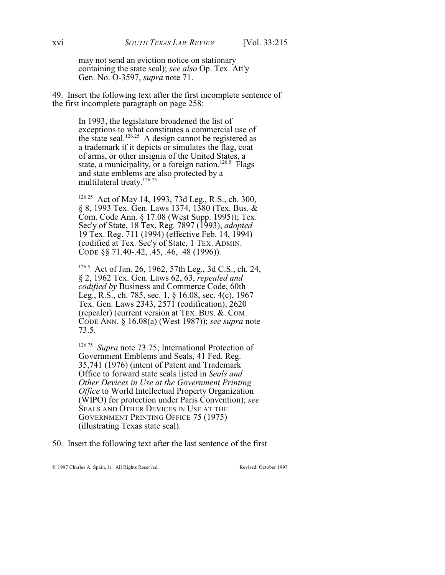may not send an eviction notice on stationary containing the state seal); *see also* Op. Tex. Att'y Gen. No. O-3597, *supra* note 71.

49. Insert the following text after the first incomplete sentence of the first incomplete paragraph on page 258:

> In 1993, the legislature broadened the list of exceptions to what constitutes a commercial use of the state seal.<sup>126.25</sup> A design cannot be registered as a trademark if it depicts or simulates the flag, coat of arms, or other insignia of the United States, a state, a municipality, or a foreign nation.<sup>126.5</sup> Flags and state emblems are also protected by a multilateral treaty.<sup>126.75</sup>

> <sup>126.25</sup> Act of May 14, 1993, 73d Leg., R.S., ch. 300, § 8, 1993 Tex. Gen. Laws 1374, 1380 (Tex. Bus. & Com. Code Ann. § 17.08 (West Supp. 1995)); Tex. Sec'y of State, 18 Tex. Reg. 7897 (1993), *adopted* 19 Tex. Reg. 711 (1994) (effective Feb. 14, 1994) (codified at Tex. Sec'y of State, 1 TEX. ADMIN. CODE §§ 71.40-.42, .45, .46, .48 (1996)).

<sup>126.5</sup> Act of Jan. 26, 1962, 57th Leg., 3d C.S., ch. 24, § 2, 1962 Tex. Gen. Laws 62, 63, *repealed and codified by* Business and Commerce Code, 60th Leg., R.S., ch. 785, sec. 1, § 16.08, sec. 4(c), 1967 Tex. Gen. Laws 2343, 2571 (codification), 2620 (repealer) (current version at TEX. BUS. &. COM. CODE ANN. § 16.08(a) (West 1987)); *see supra* note 73.5.

<sup>126.75</sup> Supra note 73.75; International Protection of Government Emblems and Seals, 41 Fed. Reg. 35,741 (1976) (intent of Patent and Trademark Office to forward state seals listed in *Seals and Other Devices in Use at the Government Printing Office* to World Intellectual Property Organization (WIPO) for protection under Paris Convention); *see* SEALS AND OTHER DEVICES IN USE AT THE GOVERNMENT PRINTING OFFICE 75 (1975) (illustrating Texas state seal).

50. Insert the following text after the last sentence of the first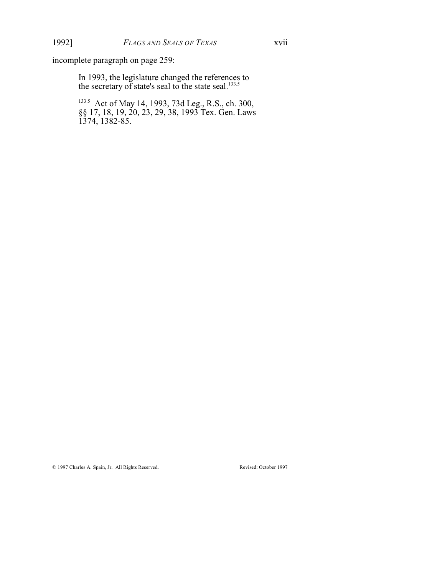incomplete paragraph on page 259:

In 1993, the legislature changed the references to the secretary of state's seal to the state seal. $133.5$ 

<sup>133.5</sup> Act of May 14, 1993, 73d Leg., R.S., ch. 300, §§ 17, 18, 19, 20, 23, 29, 38, 1993 Tex. Gen. Laws 1374, 1382-85.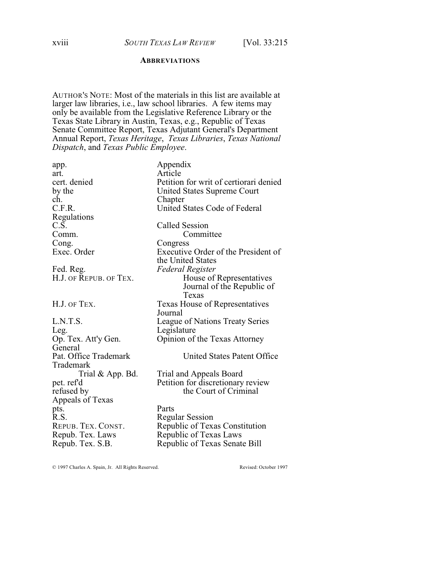#### **ABBREVIATIONS**

AUTHOR'S NOTE: Most of the materials in this list are available at larger law libraries, i.e., law school libraries. A few items may only be available from the Legislative Reference Library or the Texas State Library in Austin, Texas, e.g., Republic of Texas Senate Committee Report, Texas Adjutant General's Department Annual Report, *Texas Heritage*, *Texas Libraries*, *Texas National Dispatch*, and *Texas Public Employee*.

| Appendix                               |
|----------------------------------------|
| Article                                |
| Petition for writ of certiorari denied |
| United States Supreme Court            |
| Chapter                                |
| United States Code of Federal          |
|                                        |
| <b>Called Session</b>                  |
| Committee                              |
| Congress                               |
| Executive Order of the President of    |
| the United States                      |
| <b>Federal Register</b>                |
| House of Representatives               |
| Journal of the Republic of             |
| Texas                                  |
| Texas House of Representatives         |
| Journal                                |
| League of Nations Treaty Series        |
| Legislature                            |
| Opinion of the Texas Attorney          |
|                                        |
| United States Patent Office            |
|                                        |
| Trial and Appeals Board                |
| Petition for discretionary review      |
| the Court of Criminal                  |
|                                        |
| Parts                                  |
| <b>Regular Session</b>                 |
| Republic of Texas Constitution         |
| Republic of Texas Laws                 |
| Republic of Texas Senate Bill          |
|                                        |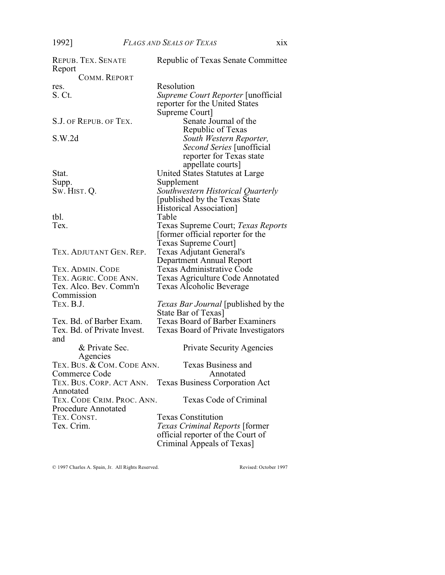| <b>REPUB. TEX. SENATE</b><br>Report | Republic of Texas Senate Committee                      |
|-------------------------------------|---------------------------------------------------------|
| COMM. REPORT                        |                                                         |
| res.                                | Resolution                                              |
| S. Ct.                              | <i>Supreme Court Reporter</i> [unofficial]              |
|                                     | reporter for the United States                          |
|                                     |                                                         |
|                                     | Supreme Court]                                          |
| S.J. OF REPUB. OF TEX.              | Senate Journal of the                                   |
|                                     | Republic of Texas                                       |
| S.W.2d                              | South Western Reporter,                                 |
|                                     | Second Series [unofficial                               |
|                                     | reporter for Texas state                                |
|                                     | appellate courts]                                       |
| Stat.                               | United States Statutes at Large                         |
| Supp.                               | Supplement                                              |
| Sw. Hist. Q.                        | Southwestern Historical Quarterly                       |
|                                     | [published by the Texas State]                          |
|                                     | Historical Association]                                 |
| tbl.                                | Table                                                   |
| Tex.                                | Texas Supreme Court; Texas Reports                      |
|                                     | [former official reporter for the                       |
|                                     | <b>Texas Supreme Court</b> ]                            |
| TEX. ADJUTANT GEN. REP.             | <b>Texas Adjutant General's</b>                         |
|                                     |                                                         |
|                                     | Department Annual Report                                |
| TEX. ADMIN. CODE                    | Texas Administrative Code                               |
| TEX. AGRIC. CODE ANN.               | Texas Agriculture Code Annotated                        |
| Tex. Alco. Bev. Comm'n              | Texas Alcoholic Beverage                                |
| Commission                          |                                                         |
| TEX. B.J.                           | <i>Texas Bar Journal</i> [published by the              |
|                                     | State Bar of Texas]                                     |
| Tex. Bd. of Barber Exam.            | <b>Texas Board of Barber Examiners</b>                  |
| Tex. Bd. of Private Invest.         | <b>Texas Board of Private Investigators</b>             |
| and                                 |                                                         |
| & Private Sec.                      | <b>Private Security Agencies</b>                        |
| Agencies                            |                                                         |
| TEX. BUS. & COM. CODE ANN.          | <b>Texas Business and</b>                               |
| Commerce Code                       | Annotated                                               |
|                                     | TEX. BUS. CORP. ACT ANN. Texas Business Corporation Act |
| Annotated                           |                                                         |
| TEX. CODE CRIM. PROC. ANN.          | Texas Code of Criminal                                  |
| <b>Procedure Annotated</b>          |                                                         |
| TEX. CONST.                         | <b>Texas Constitution</b>                               |
| Tex. Crim.                          | Texas Criminal Reports [former                          |
|                                     | official reporter of the Court of                       |
|                                     |                                                         |
|                                     | Criminal Appeals of Texas]                              |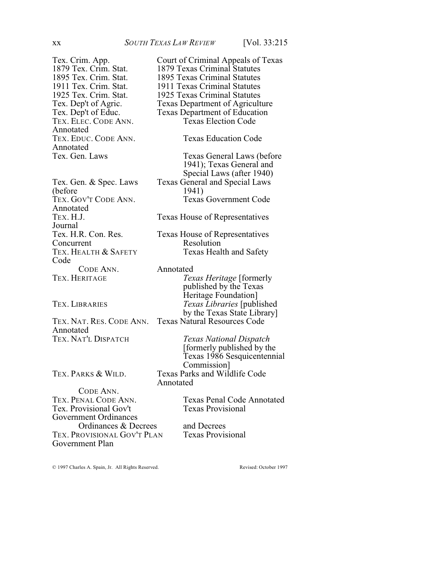Tex. Crim. App. Court of Criminal Appeals of Texas<br>1879 Tex. Crim. Stat. 1879 Texas Criminal Statutes 1879 Tex. Crim. Stat. 1879 Texas Criminal Statutes<br>1895 Tex. Crim. Stat. 1895 Texas Criminal Statutes TEX. ELEC. CODE ANN. Annotated Annotated<br>Tex. Gen. Laws

(before<br>TEX. GOV'T CODE ANN. Annotated<br>TEX. H.J. Journal<br>Tex. H.R. Con. Res. Concurrent Resolution<br>
TEX. HEALTH & SAFETY Texas Heal Code CODE ANN. Annotated<br>TEX. HERITAGE Tex

Annotated<br>Tex. Nat'l Dispatch

TEX. PARKS & WILD. Texas Parks and Wildlife Code

CODE ANN.<br>TEX. PENAL CODE ANN. Tex. Provisional Gov't Government Ordinances Ordinances & Decrees and Decrees<br>ROVISIONAL GOV'T PLAN Texas Provisional TEX. PROVISIONAL GOV'T PLAN Government Plan

1895 Texas Criminal Statutes 1911 Tex. Crim. Stat. 1911 Texas Criminal Statutes<br>1925 Tex. Crim. Stat. 1925 Texas Criminal Statutes 1925 Tex. Crim. Stat. 1925 Texas Criminal Statutes<br>Tex. Dep't of Agric. Texas Department of Agricult Tex. Dep't of Agric. Texas Department of Agriculture<br>Tex. Dep't of Educ. Texas Department of Education Texas Department of Education<br>Texas Election Code TEX. EDUC. CODE ANN. Texas Education Code Texas General Laws (before 1941); Texas General and Special Laws (after 1940) Tex. Gen. & Spec. Laws Texas General and Special Laws<br>(before 1941) Texas Government Code Texas House of Representatives Texas House of Representatives Texas Health and Safety *Texas Heritage* [formerly published by the Texas Heritage Foundation] TEX. LIBRARIES *Texas Libraries* [published by the Texas State Library] TEX. NAT. RES. CODE ANN. Texas Natural Resources Code TEX. NAT'L DISPATCH *Texas National Dispatch* [formerly published by the Texas 1986 Sesquicentennial Commission]

Texas Penal Code Annotated<br>Texas Provisional

Annotated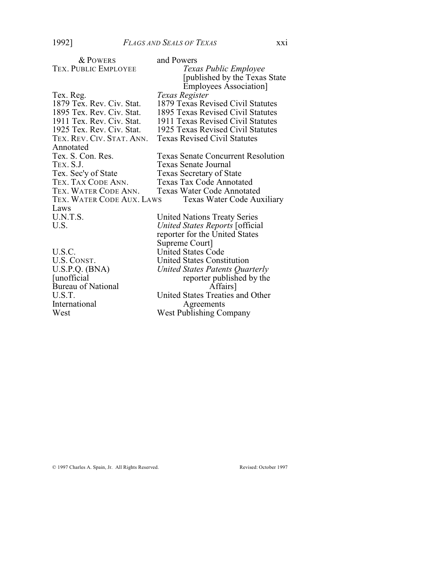| <b>&amp; POWERS</b>       | and Powers                                                                                               |
|---------------------------|----------------------------------------------------------------------------------------------------------|
| TEX. PUBLIC EMPLOYEE      | Texas Public Employee                                                                                    |
|                           | [published by the Texas State]                                                                           |
|                           | <b>Employees Association</b>                                                                             |
| Tex. Reg.                 | Texas Register                                                                                           |
| 1879 Tex. Rev. Civ. Stat. | 1879 Texas Revised Civil Statutes                                                                        |
| 1895 Tex. Rev. Civ. Stat. | 1895 Texas Revised Civil Statutes                                                                        |
| 1911 Tex. Rev. Civ. Stat. | 1911 Texas Revised Civil Statutes                                                                        |
| 1925 Tex. Rev. Civ. Stat. | 1925 Texas Revised Civil Statutes                                                                        |
| TEX. REV. CIV. STAT. ANN. | <b>Texas Revised Civil Statutes</b>                                                                      |
| Annotated                 |                                                                                                          |
| Tex. S. Con. Res.         | <b>Texas Senate Concurrent Resolution</b>                                                                |
| TEX. S.J.                 | Texas Senate Journal                                                                                     |
| Tex. Sec'y of State       | <b>Texas Secretary of State</b>                                                                          |
| TEX. TAX CODE ANN.        | <b>Texas Tax Code Annotated</b>                                                                          |
| TEX. WATER CODE ANN.      | <b>Texas Water Code Annotated</b>                                                                        |
| TEX. WATER CODE AUX. LAWS | Texas Water Code Auxiliary                                                                               |
| Laws                      |                                                                                                          |
| U.N.T.S.                  |                                                                                                          |
| U.S.                      |                                                                                                          |
|                           |                                                                                                          |
|                           | Supreme Court]                                                                                           |
| U.S.C.                    | <b>United States Code</b>                                                                                |
| U.S. CONST.               | <b>United States Constitution</b>                                                                        |
| U.S.P.Q. (BNA)            | United States Patents Quarterly                                                                          |
| [unofficial]              | reporter published by the                                                                                |
| <b>Bureau of National</b> | Affairs]                                                                                                 |
| U.S.T.                    | United States Treaties and Other                                                                         |
| International             | Agreements                                                                                               |
| West                      | <b>West Publishing Company</b>                                                                           |
|                           | <b>United Nations Treaty Series</b><br>United States Reports [official<br>reporter for the United States |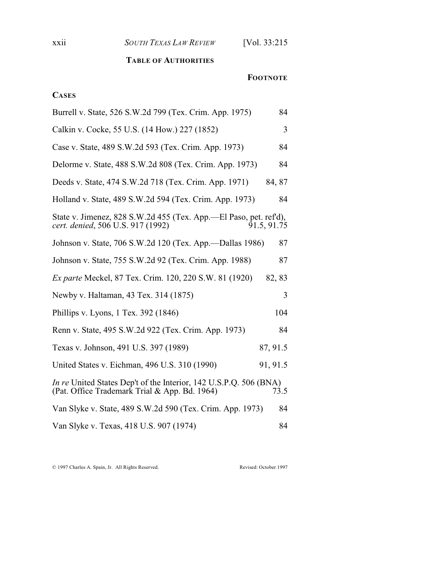xxii *SOUTH TEXAS LAW REVIEW* [Vol. 33:215

### **TABLE OF AUTHORITIES**

#### **FOOTNOTE**

## **CASES**

| Burrell v. State, 526 S.W.2d 799 (Tex. Crim. App. 1975)<br>84                                                                     |  |
|-----------------------------------------------------------------------------------------------------------------------------------|--|
| 3<br>Calkin v. Cocke, 55 U.S. (14 How.) 227 (1852)                                                                                |  |
| 84<br>Case v. State, 489 S.W.2d 593 (Tex. Crim. App. 1973)                                                                        |  |
| Delorme v. State, 488 S.W.2d 808 (Tex. Crim. App. 1973)<br>84                                                                     |  |
| Deeds v. State, 474 S.W.2d 718 (Tex. Crim. App. 1971)<br>84, 87                                                                   |  |
| Holland v. State, 489 S.W.2d 594 (Tex. Crim. App. 1973)<br>84                                                                     |  |
| State v. Jimenez, 828 S.W.2d 455 (Tex. App.—El Paso, pet. ref'd),<br>cert. denied, 506 U.S. 917 (1992)<br>91.5, 91.75             |  |
| Johnson v. State, 706 S.W.2d 120 (Tex. App.—Dallas 1986)<br>87                                                                    |  |
| Johnson v. State, 755 S.W.2d 92 (Tex. Crim. App. 1988)<br>87                                                                      |  |
| <i>Ex parte</i> Meckel, 87 Tex. Crim. 120, 220 S.W. 81 (1920)<br>82, 83                                                           |  |
| Newby v. Haltaman, 43 Tex. 314 (1875)<br>3                                                                                        |  |
| Phillips v. Lyons, 1 Tex. 392 (1846)<br>104                                                                                       |  |
| Renn v. State, 495 S.W.2d 922 (Tex. Crim. App. 1973)<br>84                                                                        |  |
| Texas v. Johnson, 491 U.S. 397 (1989)<br>87, 91.5                                                                                 |  |
| United States v. Eichman, 496 U.S. 310 (1990)<br>91, 91.5                                                                         |  |
| <i>In re</i> United States Dep't of the Interior, 142 U.S.P.Q. 506 (BNA)<br>(Pat. Office Trademark Trial & App. Bd. 1964)<br>73.5 |  |
| Van Slyke v. State, 489 S.W.2d 590 (Tex. Crim. App. 1973)<br>84                                                                   |  |
| Van Slyke v. Texas, 418 U.S. 907 (1974)<br>84                                                                                     |  |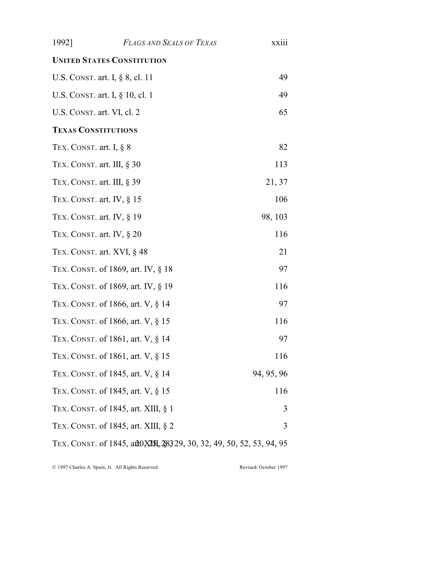| 1992]                      | <b>FLAGS AND SEALS OF TEXAS</b>                                                         | xxiii      |
|----------------------------|-----------------------------------------------------------------------------------------|------------|
|                            | <b>UNITED STATES CONSTITUTION</b>                                                       |            |
|                            | U.S. CONST. art. I, § 8, cl. 11                                                         | 49         |
|                            | U.S. CONST. art. I, § 10, cl. 1                                                         | 49         |
| U.S. CONST. art. VI, cl. 2 |                                                                                         | 65         |
| <b>TEXAS CONSTITUTIONS</b> |                                                                                         |            |
| TEX. CONST. art. I, $\S$ 8 |                                                                                         | 82         |
|                            | TEX. CONST. art. III, § 30                                                              | 113        |
|                            | TEX. CONST. art. III, § 39                                                              | 21, 37     |
|                            | TEX. CONST. art. IV, $\S$ 15                                                            | 106        |
|                            | TEX. CONST. art. IV, $\S$ 19                                                            | 98, 103    |
|                            | TEX. CONST. art. IV, $\S 20$                                                            | 116        |
|                            | TEX. CONST. art. XVI, § 48                                                              | 21         |
|                            | TEX. CONST. of 1869, art. IV, § 18                                                      | 97         |
|                            | TEX. CONST. of 1869, art. IV, § 19                                                      | 116        |
|                            | TEX. CONST. of 1866, art. V, § 14                                                       | 97         |
|                            | TEX. CONST. of 1866, art. V, § 15                                                       | 116        |
|                            | TEX. CONST. of 1861, art. V, § 14                                                       | 97         |
|                            | TEX. CONST. of 1861, art. V, § 15                                                       | 116        |
|                            | TEX. CONST. of 1845, art. V, § 14                                                       | 94, 95, 96 |
|                            | TEX. CONST. of 1845, art. V, § 15                                                       | 116        |
|                            | TEX. CONST. of 1845, art. XIII, § 1                                                     | 3          |
|                            | TEX. CONST. of 1845, art. XIII, § 2                                                     | 3          |
|                            | TEX. CONST. of 1845, a <i>t</i> 20, <b>XII</b> , \$8329, 30, 32, 49, 50, 52, 53, 94, 95 |            |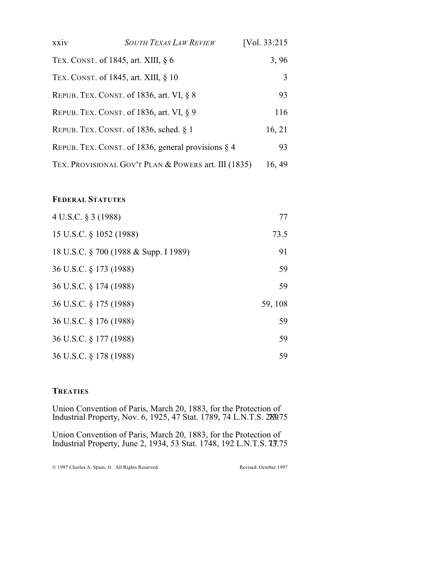| xxiv                                   | <b>SOUTH TEXAS LAW REVIEW</b>                         | [Vol. 33:215] |
|----------------------------------------|-------------------------------------------------------|---------------|
| TEX. CONST. of 1845, art. XIII, $\S$ 6 |                                                       | 3,96          |
| TEX. CONST. of 1845, art. XIII, § 10   |                                                       | 3             |
|                                        | REPUB. TEX. CONST. of 1836, art. VI, $\S$ 8           | 93            |
|                                        | REPUB. TEX. CONST. of 1836, art. VI, § 9              | 116           |
|                                        | REPUB. TEX. CONST. of 1836, sched. $\S$ 1             | 16, 21        |
|                                        | REPUB. TEX. CONST. of 1836, general provisions $\S$ 4 | 93            |
|                                        | TEX. PROVISIONAL GOV'T PLAN & POWERS art. III (1835)  | 16, 49        |

#### **FEDERAL STATUTES**

| 4 U.S.C. § 3 (1988)                   | 77      |
|---------------------------------------|---------|
| 15 U.S.C. § 1052 (1988)               | 73.5    |
| 18 U.S.C. § 700 (1988 & Supp. I 1989) | 91      |
| 36 U.S.C. § 173 (1988)                | 59      |
| 36 U.S.C. § 174 (1988)                | 59      |
| 36 U.S.C. § 175 (1988)                | 59, 108 |
| 36 U.S.C. § 176 (1988)                | 59      |
| 36 U.S.C. § 177 (1988)                | 59      |
| 36 U.S.C. § 178 (1988)                | 59      |

### **TREATIES**

Union Convention of Paris, March 20, 1883, for the Protection of Industrial Property, Nov. 6, 1925, 47 Stat. 1789, 74 L.N.T.S. 27839.75

Union Convention of Paris, March 20, 1883, for the Protection of Industrial Property, June 2, 1934, 53 Stat. 1748, 192 L.N.T.S. 13.75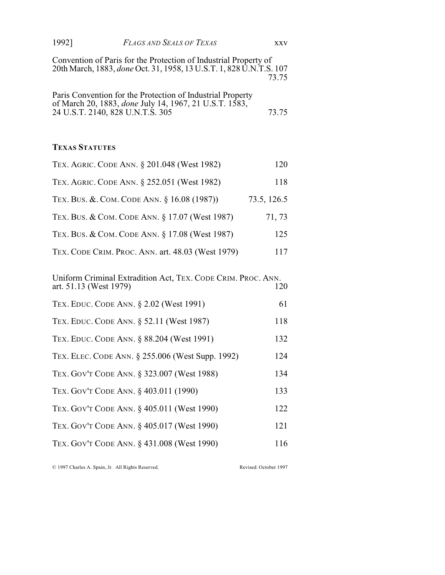| 1992] | FLAGS AND SEALS OF TEXAS | xxv |
|-------|--------------------------|-----|
|-------|--------------------------|-----|

Convention of Paris for the Protection of Industrial Property of 20th March, 1883, *done* Oct. 31, 1958, 13 U.S.T. 1, 828 U.N.T.S. 107 73.75

| Paris Convention for the Protection of Industrial Property     |       |
|----------------------------------------------------------------|-------|
| of March 20, 1883, <i>done July 14</i> , 1967, 21 U.S.T. 1583, |       |
| 24 U.S.T. 2140, 828 U.N.T.S. 305                               | 73.75 |

#### **TEXAS STATUTES**

| TEX. AGRIC. CODE ANN. § 201.048 (West 1982)                                            | 120         |
|----------------------------------------------------------------------------------------|-------------|
| TEX. AGRIC. CODE ANN. § 252.051 (West 1982)                                            | 118         |
| TEX. BUS. & COM. CODE ANN. § 16.08 (1987))                                             | 73.5, 126.5 |
| TEX. BUS. & COM. CODE ANN. § 17.07 (West 1987)                                         | 71, 73      |
| TEX. BUS. & COM. CODE ANN. § 17.08 (West 1987)                                         | 125         |
| TEX. CODE CRIM. PROC. ANN. art. 48.03 (West 1979)                                      | 117         |
| Uniform Criminal Extradition Act, TEX. CODE CRIM. PROC. ANN.<br>art. 51.13 (West 1979) | 120         |
| TEX. EDUC. CODE ANN. § 2.02 (West 1991)                                                | 61          |
| TEX. EDUC. CODE ANN. § 52.11 (West 1987)                                               | 118         |

| TEX. EDUC. CODE ANN. § 88.204 (West 1991) | 132 |
|-------------------------------------------|-----|

|  | TEX. ELEC. CODE ANN. § 255.006 (West Supp. 1992) |  |  |  | 124 |
|--|--------------------------------------------------|--|--|--|-----|
|--|--------------------------------------------------|--|--|--|-----|

- TEX. GOV'T CODE ANN. § 323.007 (West 1988) 134
- TEX. GOV'T CODE ANN. § 403.011 (1990) 133
- TEX. GOV'T CODE ANN. § 405.011 (West 1990) 122
- TEX. GOV'T CODE ANN. § 405.017 (West 1990) 121
- TEX. GOV'T CODE ANN. § 431.008 (West 1990) 116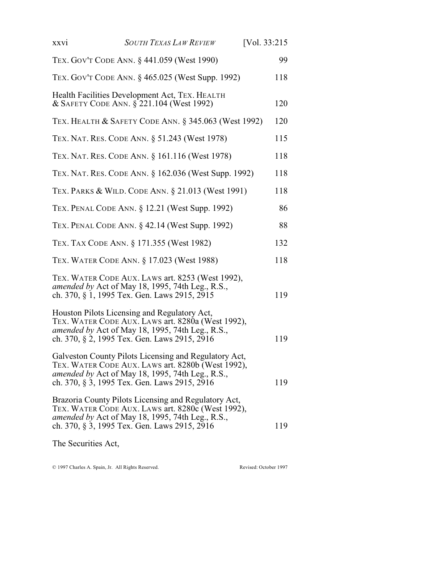| XXV1                | <b>SOUTH TEXAS LAW REVIEW</b>                                                                                                                                                                                  | [Vol. 33:215] |
|---------------------|----------------------------------------------------------------------------------------------------------------------------------------------------------------------------------------------------------------|---------------|
|                     | TEX. GOV'T CODE ANN. § 441.059 (West 1990)                                                                                                                                                                     | 99            |
|                     | TEX. GOV'T CODE ANN. § 465.025 (West Supp. 1992)                                                                                                                                                               | 118           |
|                     | Health Facilities Development Act, TEX. HEALTH<br>& SAFETY CODE ANN. § 221.104 (West 1992)                                                                                                                     | 120           |
|                     | TEX. HEALTH & SAFETY CODE ANN. § 345.063 (West 1992)                                                                                                                                                           | 120           |
|                     | TEX. NAT. RES. CODE ANN. § 51.243 (West 1978)                                                                                                                                                                  | 115           |
|                     | TEX. NAT. RES. CODE ANN. § 161.116 (West 1978)                                                                                                                                                                 | 118           |
|                     | TEX. NAT. RES. CODE ANN. § 162.036 (West Supp. 1992)                                                                                                                                                           | 118           |
|                     | TEX. PARKS & WILD. CODE ANN. § 21.013 (West 1991)                                                                                                                                                              | 118           |
|                     | TEX. PENAL CODE ANN. § 12.21 (West Supp. 1992)                                                                                                                                                                 | 86            |
|                     | TEX. PENAL CODE ANN. § 42.14 (West Supp. 1992)                                                                                                                                                                 | 88            |
|                     | TEX. TAX CODE ANN. § 171.355 (West 1982)                                                                                                                                                                       | 132           |
|                     | TEX. WATER CODE ANN. § 17.023 (West 1988)                                                                                                                                                                      | 118           |
|                     | TEX. WATER CODE AUX. LAWS art. 8253 (West 1992),<br>amended by Act of May 18, 1995, 74th Leg., R.S.,<br>ch. 370, § 1, 1995 Tex. Gen. Laws 2915, 2915                                                           | 119           |
|                     | Houston Pilots Licensing and Regulatory Act,<br>TEX. WATER CODE AUX. LAWS art. 8280a (West 1992),<br>amended by Act of May 18, 1995, 74th Leg., R.S.,<br>ch. 370, § 2, 1995 Tex. Gen. Laws 2915, 2916          | 119           |
|                     | Galveston County Pilots Licensing and Regulatory Act,<br>TEX. WATER CODE AUX. LAWS art. 8280b (West 1992),<br>amended by Act of May 18, 1995, 74th Leg., R.S.,<br>ch. 370, § 3, 1995 Tex. Gen. Laws 2915, 2916 | 119           |
|                     | Brazoria County Pilots Licensing and Regulatory Act,<br>TEX. WATER CODE AUX. LAWS art. 8280c (West 1992),<br>amended by Act of May 18, 1995, 74th Leg., R.S.,<br>ch. 370, § 3, 1995 Tex. Gen. Laws 2915, 2916  | 119           |
| The Securities Act, |                                                                                                                                                                                                                |               |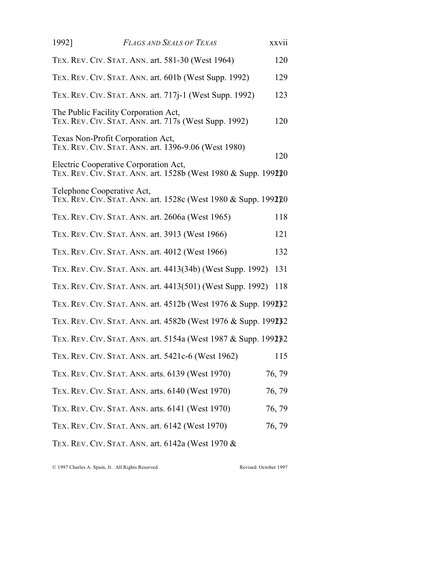| 1992] | <b>FLAGS AND SEALS OF TEXAS</b>                                                                         | XXVII  |
|-------|---------------------------------------------------------------------------------------------------------|--------|
|       | TEX. REV. CIV. STAT. ANN. art. 581-30 (West 1964)                                                       | 120    |
|       | TEX. REV. CIV. STAT. ANN. art. 601b (West Supp. 1992)                                                   | 129    |
|       | TEX. REV. CIV. STAT. ANN. art. 717 <i>j</i> -1 (West Supp. 1992)                                        | 123    |
|       | The Public Facility Corporation Act,<br>TEX. REV. CIV. STAT. ANN. art. 717s (West Supp. 1992)           | 120    |
|       | Texas Non-Profit Corporation Act,<br>TEX. REV. CIV. STAT. ANN. art. 1396-9.06 (West 1980)               | 120    |
|       | Electric Cooperative Corporation Act,<br>TEX. REV. CIV. STAT. ANN. art. 1528b (West 1980 & Supp. 199220 |        |
|       | Telephone Cooperative Act,<br>TEX. REV. CIV. STAT. ANN. art. 1528c (West 1980 & Supp. 199220            |        |
|       | TEX. REV. CIV. STAT. ANN. art. 2606a (West 1965)                                                        | 118    |
|       | TEX. REV. CIV. STAT. ANN. art. 3913 (West 1966)                                                         | 121    |
|       | TEX. REV. CIV. STAT. ANN. art. 4012 (West 1966)                                                         | 132    |
|       | TEX. REV. CIV. STAT. ANN. art. 4413(34b) (West Supp. 1992)                                              | 131    |
|       | TEX. REV. CIV. STAT. ANN. art. 4413(501) (West Supp. 1992)                                              | 118    |
|       | TEX. REV. CIV. STAT. ANN. art. 4512b (West 1976 & Supp. 199232)                                         |        |
|       | TEX. REV. CIV. STAT. ANN. art. 4582b (West 1976 & Supp. 199232)                                         |        |
|       | TEX. REV. CIV. STAT. ANN. art. 5154a (West 1987 & Supp. 1992) 32                                        |        |
|       | TEX. REV. CIV. STAT. ANN. art. 5421c-6 (West 1962)                                                      | 115    |
|       | TEX. REV. CIV. STAT. ANN. arts. 6139 (West 1970)                                                        | 76, 79 |
|       | TEX. REV. CIV. STAT. ANN. arts. 6140 (West 1970)                                                        | 76, 79 |
|       | TEX. REV. CIV. STAT. ANN. arts. 6141 (West 1970)                                                        | 76, 79 |
|       | TEX. REV. CIV. STAT. ANN. art. 6142 (West 1970)                                                         | 76, 79 |
|       | TEX. REV. CIV. STAT. ANN. art. $6142a$ (West 1970 $\&$                                                  |        |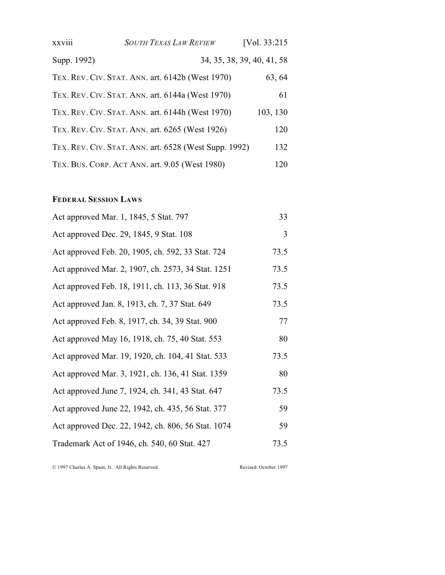| xxviii      | <b>SOUTH TEXAS LAW REVIEW</b>                         | [Vol. 33:215]              |
|-------------|-------------------------------------------------------|----------------------------|
| Supp. 1992) |                                                       | 34, 35, 38, 39, 40, 41, 58 |
|             | TEX. REV. CIV. STAT. ANN. art. 6142b (West 1970)      | 63, 64                     |
|             | TEX. REV. CIV. STAT. ANN. art. 6144a (West 1970)      | 61                         |
|             | TEX. REV. CIV. STAT. ANN. art. 6144h (West 1970)      | 103, 130                   |
|             | TEX. REV. CIV. STAT. ANN. art. 6265 (West 1926)       | 120                        |
|             | TEX. REV. CIV. STAT. ANN. art. 6528 (West Supp. 1992) | 132                        |
|             | TEX. BUS. CORP. ACT ANN. art. 9.05 (West 1980)        | 120                        |

# **FEDERAL SESSION LAWS**

| Act approved Mar. 1, 1845, 5 Stat. 797             | 33   |
|----------------------------------------------------|------|
| Act approved Dec. 29, 1845, 9 Stat. 108            | 3    |
| Act approved Feb. 20, 1905, ch. 592, 33 Stat. 724  | 73.5 |
| Act approved Mar. 2, 1907, ch. 2573, 34 Stat. 1251 | 73.5 |
| Act approved Feb. 18, 1911, ch. 113, 36 Stat. 918  | 73.5 |
| Act approved Jan. 8, 1913, ch. 7, 37 Stat. 649     | 73.5 |
| Act approved Feb. 8, 1917, ch. 34, 39 Stat. 900    | 77   |
| Act approved May 16, 1918, ch. 75, 40 Stat. 553    | 80   |
| Act approved Mar. 19, 1920, ch. 104, 41 Stat. 533  | 73.5 |
| Act approved Mar. 3, 1921, ch. 136, 41 Stat. 1359  | 80   |
| Act approved June 7, 1924, ch. 341, 43 Stat. 647   | 73.5 |
| Act approved June 22, 1942, ch. 435, 56 Stat. 377  | 59   |
| Act approved Dec. 22, 1942, ch. 806, 56 Stat. 1074 | 59   |
| Trademark Act of 1946, ch. 540, 60 Stat. 427       | 73.5 |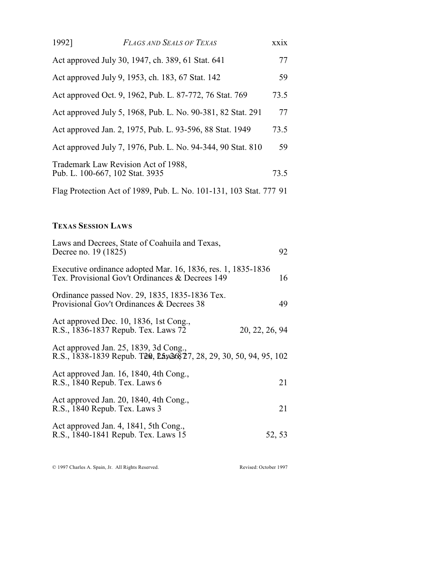| 1992]                                                              | <b>FLAGS AND SEALS OF TEXAS</b>                                        | XX1X |
|--------------------------------------------------------------------|------------------------------------------------------------------------|------|
|                                                                    | Act approved July 30, 1947, ch. 389, 61 Stat. 641                      | 77   |
|                                                                    | Act approved July 9, 1953, ch. 183, 67 Stat. 142                       | 59   |
|                                                                    | Act approved Oct. 9, 1962, Pub. L. 87-772, 76 Stat. 769                | 73.5 |
|                                                                    | Act approved July 5, 1968, Pub. L. No. 90-381, 82 Stat. 291            | 77   |
|                                                                    | Act approved Jan. 2, 1975, Pub. L. 93-596, 88 Stat. 1949               | 73.5 |
|                                                                    | Act approved July 7, 1976, Pub. L. No. 94-344, 90 Stat. 810            | 59   |
|                                                                    | Trademark Law Revision Act of 1988,<br>Pub. L. 100-667, 102 Stat. 3935 | 73.5 |
| Flag Protection Act of 1989, Pub. L. No. 101-131, 103 Stat. 777 91 |                                                                        |      |

# **TEXAS SESSION LAWS**

| Laws and Decrees, State of Coahuila and Texas,<br>Decree no. 19 (1825)                                          | 92             |
|-----------------------------------------------------------------------------------------------------------------|----------------|
| Executive ordinance adopted Mar. 16, 1836, res. 1, 1835-1836<br>Tex. Provisional Gov't Ordinances & Decrees 149 | 16             |
| Ordinance passed Nov. 29, 1835, 1835-1836 Tex.<br>Provisional Gov't Ordinances & Decrees 38                     | 49             |
| Act approved Dec. 10, 1836, 1st Cong.,<br>R.S., 1836-1837 Repub. Tex. Laws 72                                   | 20, 22, 26, 94 |
| Act approved Jan. 25, 1839, 3d Cong.,<br>R.S., 1838-1839 Repub. Tem, Lay26827, 28, 29, 30, 50, 94, 95, 102      |                |
| Act approved Jan. 16, 1840, 4th Cong.,<br>R.S., 1840 Repub. Tex. Laws 6                                         | 21             |
| Act approved Jan. 20, 1840, 4th Cong.,<br>R.S., 1840 Repub. Tex. Laws 3                                         | 21             |
| Act approved Jan. 4, 1841, 5th Cong.,<br>R.S., 1840-1841 Repub. Tex. Laws 15                                    | 52, 53         |
|                                                                                                                 |                |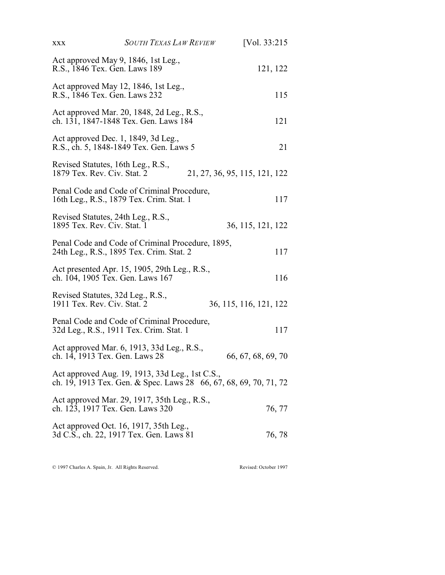| <b>XXX</b>                     | <b>SOUTH TEXAS LAW REVIEW</b>                                                                | [Vol. 33:215]                                                     |
|--------------------------------|----------------------------------------------------------------------------------------------|-------------------------------------------------------------------|
| R.S., 1846 Tex. Gen. Laws 189  | Act approved May 9, 1846, 1st Leg.,                                                          | 121, 122                                                          |
| R.S., 1846 Tex. Gen. Laws 232  | Act approved May 12, 1846, 1st Leg.,                                                         | 115                                                               |
|                                | Act approved Mar. 20, 1848, 2d Leg., R.S.,<br>ch. 131, 1847-1848 Tex. Gen. Laws 184          | 121                                                               |
|                                | Act approved Dec. 1, 1849, 3d Leg.,<br>R.S., ch. 5, 1848-1849 Tex. Gen. Laws 5               | 21                                                                |
| 1879 Tex. Rev. Civ. Stat. 2    | Revised Statutes, 16th Leg., R.S.,                                                           | 21, 27, 36, 95, 115, 121, 122                                     |
|                                | Penal Code and Code of Criminal Procedure,<br>16th Leg., R.S., 1879 Tex. Crim. Stat. 1       | 117                                                               |
| 1895 Tex. Rev. Civ. Stat. 1    | Revised Statutes, 24th Leg., R.S.,                                                           | 36, 115, 121, 122                                                 |
|                                | Penal Code and Code of Criminal Procedure, 1895,<br>24th Leg., R.S., 1895 Tex. Crim. Stat. 2 | 117                                                               |
|                                | Act presented Apr. 15, 1905, 29th Leg., R.S.,<br>ch. 104, 1905 Tex. Gen. Laws 167            | 116                                                               |
| 1911 Tex. Rev. Civ. Stat. 2    | Revised Statutes, 32d Leg., R.S.,                                                            | 36, 115, 116, 121, 122                                            |
|                                | Penal Code and Code of Criminal Procedure,<br>32d Leg., R.S., 1911 Tex. Crim. Stat. 1        | 117                                                               |
| ch. 14, 1913 Tex. Gen. Laws 28 | Act approved Mar. 6, 1913, 33d Leg., R.S.,                                                   | 66, 67, 68, 69, 70                                                |
|                                | Act approved Aug. 19, 1913, 33d Leg., 1st C.S.,                                              | ch. 19, 1913 Tex. Gen. & Spec. Laws 28 66, 67, 68, 69, 70, 71, 72 |
|                                | Act approved Mar. 29, 1917, 35th Leg., R.S.,<br>ch. 123, 1917 Tex. Gen. Laws 320             | 76, 77                                                            |
|                                | Act approved Oct. 16, 1917, 35th Leg.,<br>3d C.S., ch. 22, 1917 Tex. Gen. Laws 81            | 76, 78                                                            |
|                                |                                                                                              |                                                                   |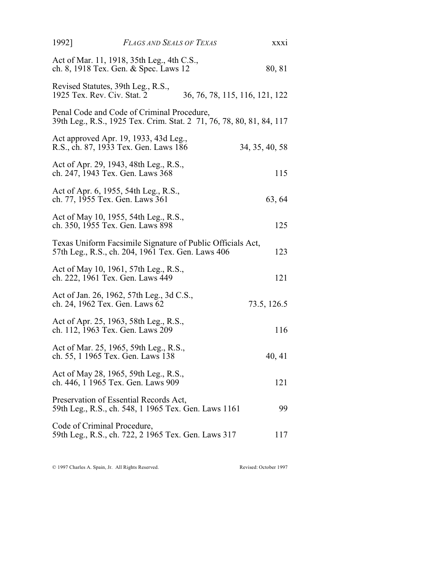| 1992]                           | FLAGS AND SEALS OF TEXAS                                                                                           |                                | XXX1           |
|---------------------------------|--------------------------------------------------------------------------------------------------------------------|--------------------------------|----------------|
|                                 | Act of Mar. 11, 1918, 35th Leg., 4th C.S.,<br>ch. 8, 1918 Tex. Gen. & Spec. Laws 12                                |                                | 80, 81         |
| 1925 Tex. Rev. Civ. Stat. 2     | Revised Statutes, 39th Leg., R.S.,                                                                                 | 36, 76, 78, 115, 116, 121, 122 |                |
|                                 | Penal Code and Code of Criminal Procedure,<br>39th Leg., R.S., 1925 Tex. Crim. Stat. 2 71, 76, 78, 80, 81, 84, 117 |                                |                |
|                                 | Act approved Apr. 19, 1933, 43d Leg.,<br>R.S., ch. 87, 1933 Tex. Gen. Laws 186                                     |                                | 34, 35, 40, 58 |
|                                 | Act of Apr. 29, 1943, 48th Leg., R.S.,<br>ch. 247, 1943 Tex. Gen. Laws 368                                         |                                | 115            |
| ch. 77, 1955 Tex. Gen. Laws 361 | Act of Apr. 6, 1955, 54th Leg., R.S.,                                                                              |                                | 63, 64         |
|                                 | Act of May 10, 1955, 54th Leg., R.S.,<br>ch. 350, 1955 Tex. Gen. Laws 898                                          |                                | 125            |
|                                 | Texas Uniform Facsimile Signature of Public Officials Act,<br>57th Leg., R.S., ch. 204, 1961 Tex. Gen. Laws 406    |                                | 123            |
|                                 | Act of May 10, 1961, 57th Leg., R.S.,<br>ch. 222, 1961 Tex. Gen. Laws 449                                          |                                | 121            |
| ch. 24, 1962 Tex. Gen. Laws 62  | Act of Jan. 26, 1962, 57th Leg., 3d C.S.,                                                                          |                                | 73.5, 126.5    |
|                                 | Act of Apr. 25, 1963, 58th Leg., R.S.,<br>ch. 112, 1963 Tex. Gen. Laws 209                                         |                                | 116            |
|                                 | Act of Mar. 25, 1965, 59th Leg., R.S.,<br>ch. 55, 1 1965 Tex. Gen. Laws 138                                        |                                | 40, 41         |
|                                 | Act of May 28, 1965, 59th Leg., R.S.,<br>ch. 446, 1 1965 Tex. Gen. Laws 909                                        |                                | 121            |
|                                 | Preservation of Essential Records Act,<br>59th Leg., R.S., ch. 548, 1 1965 Tex. Gen. Laws 1161                     |                                | 99             |
| Code of Criminal Procedure,     | 59th Leg., R.S., ch. 722, 2 1965 Tex. Gen. Laws 317                                                                |                                | 117            |
|                                 |                                                                                                                    |                                |                |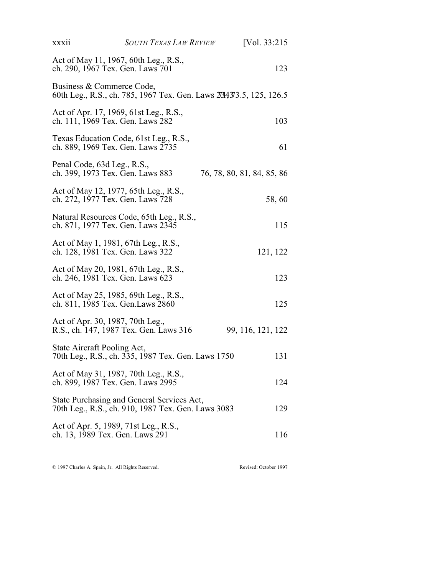| xxxii                                                                    | <b>SOUTH TEXAS LAW REVIEW</b>                                                                    |                            | [Vol. $33:215$    |
|--------------------------------------------------------------------------|--------------------------------------------------------------------------------------------------|----------------------------|-------------------|
| ch. 290, 1967 Tex. Gen. Laws 701                                         | Act of May 11, 1967, 60th Leg., R.S.,                                                            |                            | 123               |
| Business & Commerce Code,                                                | 60th Leg., R.S., ch. 785, 1967 Tex. Gen. Laws 2734373.5, 125, 126.5                              |                            |                   |
| ch. 111, 1969 Tex. Gen. Laws 282                                         | Act of Apr. 17, 1969, 61st Leg., R.S.,                                                           |                            | 103               |
| ch. 889, 1969 Tex. Gen. Laws 2735                                        | Texas Education Code, 61st Leg., R.S.,                                                           |                            | 61                |
| Penal Code, 63d Leg., R.S.,<br>ch. 399, 1973 Tex. Gen. Laws 883          |                                                                                                  | 76, 78, 80, 81, 84, 85, 86 |                   |
| ch. 272, 1977 Tex. Gen. Laws 728                                         | Act of May 12, 1977, 65th Leg., R.S.,                                                            |                            | 58,60             |
| ch. 871, 1977 Tex. Gen. Laws 2345                                        | Natural Resources Code, 65th Leg., R.S.,                                                         |                            | 115               |
| ch. 128, 1981 Tex. Gen. Laws 322                                         | Act of May 1, 1981, 67th Leg., R.S.,                                                             |                            | 121, 122          |
| ch. 246, 1981 Tex. Gen. Laws 623                                         | Act of May 20, 1981, 67th Leg., R.S.,                                                            |                            | 123               |
| ch. 811, 1985 Tex. Gen. Laws 2860                                        | Act of May 25, 1985, 69th Leg., R.S.,                                                            |                            | 125               |
| Act of Apr. 30, 1987, 70th Leg.,                                         | R.S., ch. 147, 1987 Tex. Gen. Laws 316                                                           |                            | 99, 116, 121, 122 |
| State Aircraft Pooling Act,                                              | 70th Leg., R.S., ch. 335, 1987 Tex. Gen. Laws 1750                                               |                            | 131               |
| ch. 899, 1987 Tex. Gen. Laws 2995                                        | Act of May 31, 1987, 70th Leg., R.S.,                                                            |                            | 124               |
|                                                                          | State Purchasing and General Services Act,<br>70th Leg., R.S., ch. 910, 1987 Tex. Gen. Laws 3083 |                            | 129               |
| Act of Apr. 5, 1989, 71st Leg., R.S.,<br>ch. 13, 1989 Tex. Gen. Laws 291 |                                                                                                  |                            | 116               |
|                                                                          |                                                                                                  |                            |                   |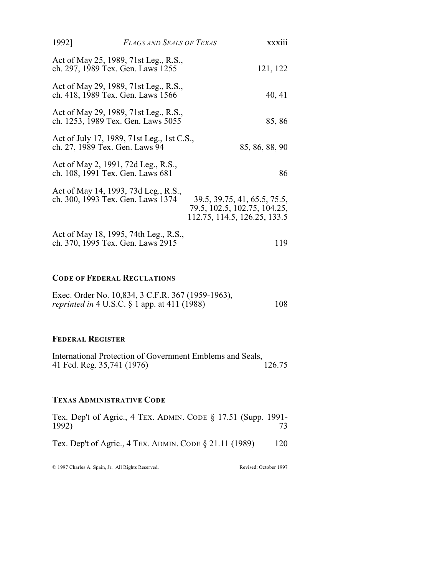| 1992]                             | <b>FLAGS AND SEALS OF TEXAS</b>                                             | <b>XXX111</b>                                                                                |
|-----------------------------------|-----------------------------------------------------------------------------|----------------------------------------------------------------------------------------------|
| ch. 297, 1989 Tex. Gen. Laws 1255 | Act of May 25, 1989, 71st Leg., R.S.,                                       | 121, 122                                                                                     |
|                                   | Act of May 29, 1989, 71st Leg., R.S.,<br>ch. 418, 1989 Tex. Gen. Laws 1566  | 40, 41                                                                                       |
|                                   | Act of May 29, 1989, 71st Leg., R.S.,<br>ch. 1253, 1989 Tex. Gen. Laws 5055 | 85,86                                                                                        |
| ch. 27, 1989 Tex. Gen. Laws 94    | Act of July 17, 1989, 71st Leg., 1st C.S.,                                  | 85, 86, 88, 90                                                                               |
| ch. 108, 1991 Tex. Gen. Laws 681  | Act of May 2, 1991, 72d Leg., R.S.,                                         | 86                                                                                           |
| ch. 300, 1993 Tex. Gen. Laws 1374 | Act of May 14, 1993, 73d Leg., R.S.,                                        | 39.5, 39.75, 41, 65.5, 75.5,<br>79.5, 102.5, 102.75, 104.25,<br>112.75, 114.5, 126.25, 133.5 |
| ch. 370, 1995 Tex. Gen. Laws 2915 | Act of May 18, 1995, 74th Leg., R.S.,                                       | 119                                                                                          |

### **CODE OF FEDERAL REGULATIONS**

| Exec. Order No. 10,834, 3 C.F.R. 367 (1959-1963),      |     |
|--------------------------------------------------------|-----|
| <i>reprinted in</i> 4 U.S.C. $\S$ 1 app. at 411 (1988) | 108 |

#### **FEDERAL REGISTER**

| International Protection of Government Emblems and Seals, |        |
|-----------------------------------------------------------|--------|
| 41 Fed. Reg. 35,741 (1976)                                | 126.75 |

### **TEXAS ADMINISTRATIVE CODE**

| Tex. Dep't of Agric., 4 TEX. ADMIN. CODE $\S$ 17.51 (Supp. 1991-<br>1992) |     |
|---------------------------------------------------------------------------|-----|
| Tex. Dep't of Agric., 4 TEX. ADMIN. CODE $\S 21.11$ (1989)                | 120 |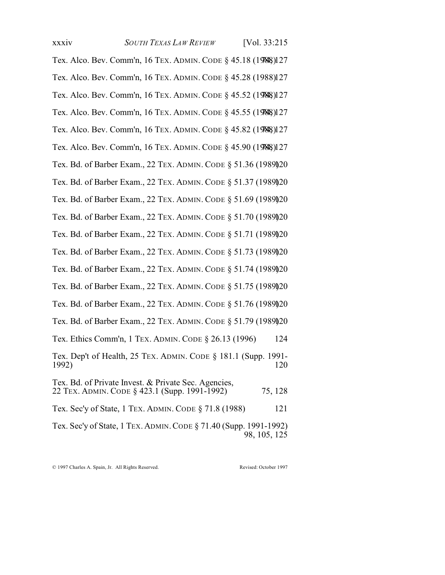xxxiv *SOUTH TEXAS LAW REVIEW* [Vol. 33:215 Tex. Alco. Bev. Comm'n, 16 TEX. ADMIN. CODE § 45.18 (1988)127 Tex. Alco. Bev. Comm'n, 16 TEX. ADMIN. CODE § 45.28 (1988)127 Tex. Alco. Bev. Comm'n, 16 TEX. ADMIN. CODE § 45.52 (1988)127 Tex. Alco. Bev. Comm'n, 16 TEX. ADMIN. CODE § 45.55 (1988)127 Tex. Alco. Bev. Comm'n, 16 TEX. ADMIN. CODE § 45.82 (1988)127 Tex. Alco. Bev. Comm'n, 16 TEX. ADMIN. CODE § 45.90 (1988)127 Tex. Bd. of Barber Exam., 22 TEX. ADMIN. CODE § 51.36 (19891)20 Tex. Bd. of Barber Exam., 22 TEX. ADMIN. CODE § 51.37 (1989)20 Tex. Bd. of Barber Exam., 22 TEX. ADMIN. CODE § 51.69 (1989)20 Tex. Bd. of Barber Exam., 22 TEX. ADMIN. CODE § 51.70 (19891)20 Tex. Bd. of Barber Exam., 22 TEX. ADMIN. CODE § 51.71 (19891)20 Tex. Bd. of Barber Exam., 22 TEX. ADMIN. CODE § 51.73 (19891)20 Tex. Bd. of Barber Exam., 22 TEX. ADMIN. CODE § 51.74 (19891)20 Tex. Bd. of Barber Exam., 22 TEX. ADMIN. CODE § 51.75 (19891)20 Tex. Bd. of Barber Exam., 22 TEX. ADMIN. CODE § 51.76 (19891)20 Tex. Bd. of Barber Exam., 22 TEX. ADMIN. CODE § 51.79 (1989)20 Tex. Ethics Comm'n, 1 TEX. ADMIN. CODE § 26.13 (1996) 124

Tex. Dep't of Health, 25 TEX. ADMIN. CODE § 181.1 (Supp. 1991- 1992) 120

Tex. Bd. of Private Invest. & Private Sec. Agencies, 22 TEX. ADMIN. CODE § 423.1 (Supp. 1991-1992) 75, 128 Tex. Sec'y of State, 1 TEX. ADMIN. CODE § 71.8 (1988) 121

Tex. Sec'y of State, 1 TEX. ADMIN.CODE § 71.40 (Supp. 1991-1992) 98, 105, 125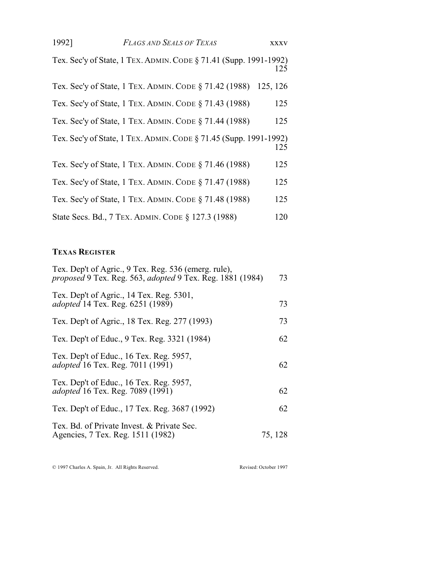| 1992] | <b>FLAGS AND SEALS OF TEXAS</b>                                   | <b>XXXV</b> |
|-------|-------------------------------------------------------------------|-------------|
|       | Tex. Sec'y of State, 1 TEX. ADMIN. CODE § 71.41 (Supp. 1991-1992) | 125         |
|       | Tex. Sec'y of State, 1 TEX. ADMIN. CODE § 71.42 (1988) 125, 126   |             |

| Tex. Sec'y of State, 1 TEX. ADMIN. CODE § 71.43 (1988)            | 125 |
|-------------------------------------------------------------------|-----|
| Tex. Sec'y of State, 1 TEX. ADMIN. CODE § 71.44 (1988)            | 125 |
| Tex. Sec'y of State, 1 TEX. ADMIN. CODE § 71.45 (Supp. 1991-1992) | 125 |
| Tex. Sec'y of State, 1 TEX. ADMIN. CODE § 71.46 (1988)            | 125 |
| Tex. Sec'y of State, 1 TEX. ADMIN. CODE § 71.47 (1988)            | 125 |
| Tex. Sec'y of State, 1 TEX. ADMIN. CODE § 71.48 (1988)            | 125 |
| State Secs. Bd., 7 TEX. ADMIN. CODE § 127.3 (1988)                | 120 |

# **TEXAS REGISTER**

| Tex. Dep't of Agric., 9 Tex. Reg. 536 (emerg. rule),<br><i>proposed</i> 9 Tex. Reg. 563, <i>adopted</i> 9 Tex. Reg. 1881 (1984) | 73      |
|---------------------------------------------------------------------------------------------------------------------------------|---------|
| Tex. Dep't of Agric., 14 Tex. Reg. 5301,<br><i>adopted</i> 14 Tex. Reg. 6251 (1989)                                             | 73      |
| Tex. Dep't of Agric., 18 Tex. Reg. 277 (1993)                                                                                   | 73      |
| Tex. Dep't of Educ., 9 Tex. Reg. 3321 (1984)                                                                                    | 62      |
| Tex. Dep't of Educ., 16 Tex. Reg. 5957,<br><i>adopted</i> 16 Tex. Reg. 7011 (1991)                                              | 62      |
| Tex. Dep't of Educ., 16 Tex. Reg. 5957,<br><i>adopted</i> 16 Tex. Reg. 7089 (1991)                                              | 62      |
| Tex. Dep't of Educ., 17 Tex. Reg. 3687 (1992)                                                                                   | 62      |
| Tex. Bd. of Private Invest. & Private Sec.<br>Agencies, 7 Tex. Reg. 1511 (1982)                                                 | 75, 128 |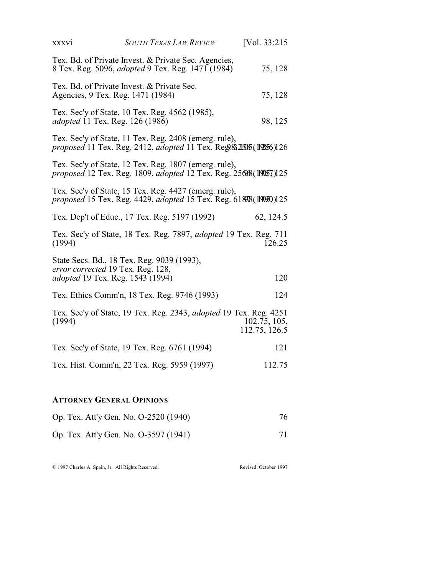| XXXV1                                                                        | <b>SOUTH TEXAS LAW REVIEW</b>                                                                                              | [Vol. 33:215]                 |
|------------------------------------------------------------------------------|----------------------------------------------------------------------------------------------------------------------------|-------------------------------|
|                                                                              | Tex. Bd. of Private Invest. & Private Sec. Agencies,<br>8 Tex. Reg. 5096, <i>adopted</i> 9 Tex. Reg. 1471 (1984)           | 75, 128                       |
| Agencies, 9 Tex. Reg. 1471 (1984)                                            | Tex. Bd. of Private Invest. & Private Sec.                                                                                 | 75, 128                       |
| <i>adopted</i> 11 Tex. Reg. 126 (1986)                                       | Tex. Sec'y of State, 10 Tex. Reg. 4562 (1985),                                                                             | 98, 125                       |
|                                                                              | Tex. Sec'y of State, 11 Tex. Reg. 2408 (emerg. rule),<br>proposed 11 Tex. Reg. 2412, adopted 11 Tex. Reg. 82505 (19856)126 |                               |
|                                                                              | Tex. Sec'y of State, 12 Tex. Reg. 1807 (emerg. rule),<br>proposed 12 Tex. Reg. 1809, adopted 12 Tex. Reg. 25608(19057)125  |                               |
|                                                                              | Tex. Sec'y of State, 15 Tex. Reg. 4427 (emerg. rule),<br>proposed 15 Tex. Reg. 4429, adopted 15 Tex. Reg. 61898(19950)125  |                               |
|                                                                              | Tex. Dep't of Educ., 17 Tex. Reg. 5197 (1992)                                                                              | 62, 124.5                     |
| (1994)                                                                       | Tex. Sec'y of State, 18 Tex. Reg. 7897, adopted 19 Tex. Reg. 711                                                           | 126.25                        |
| error corrected 19 Tex. Reg. 128,<br><i>adopted</i> 19 Tex. Reg. 1543 (1994) | State Secs. Bd., 18 Tex. Reg. 9039 (1993),                                                                                 | 120                           |
|                                                                              | Tex. Ethics Comm'n, 18 Tex. Reg. 9746 (1993)                                                                               | 124                           |
| (1994)                                                                       | Tex. Sec'y of State, 19 Tex. Reg. 2343, adopted 19 Tex. Reg. 4251                                                          | 102.75, 105,<br>112.75, 126.5 |
|                                                                              | Tex. Sec'y of State, 19 Tex. Reg. 6761 (1994)                                                                              | 121                           |
|                                                                              | Tex. Hist. Comm'n, 22 Tex. Reg. 5959 (1997)                                                                                | 112.75                        |
|                                                                              |                                                                                                                            |                               |

# **ATTORNEY GENERAL OPINIONS**

| Op. Tex. Att'y Gen. No. O-2520 (1940) | 76 |
|---------------------------------------|----|
| Op. Tex. Att'y Gen. No. O-3597 (1941) | 71 |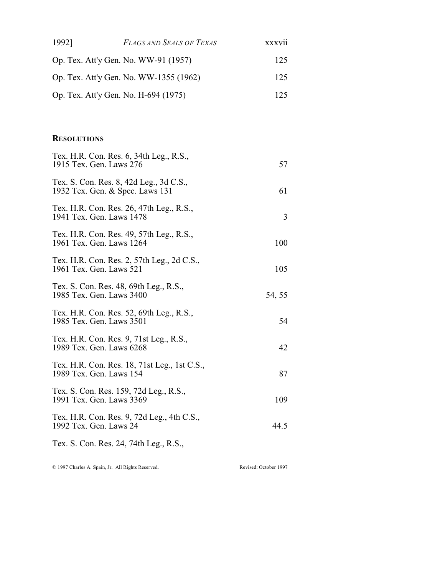| 1992]                    | <b>FLAGS AND SEALS OF TEXAS</b>                                            | xxxvii |
|--------------------------|----------------------------------------------------------------------------|--------|
|                          | Op. Tex. Att'y Gen. No. WW-91 (1957)                                       | 125    |
|                          | Op. Tex. Att'y Gen. No. WW-1355 (1962)                                     | 125    |
|                          | Op. Tex. Att'y Gen. No. H-694 (1975)                                       | 125    |
|                          |                                                                            |        |
| <b>RESOLUTIONS</b>       |                                                                            |        |
| 1915 Tex. Gen. Laws 276  | Tex. H.R. Con. Res. 6, 34th Leg., R.S.,                                    | 57     |
|                          | Tex. S. Con. Res. 8, 42d Leg., 3d C.S.,<br>1932 Tex. Gen. & Spec. Laws 131 | 61     |
| 1941 Tex. Gen. Laws 1478 | Tex. H.R. Con. Res. 26, 47th Leg., R.S.,                                   | 3      |
| 1961 Tex. Gen. Laws 1264 | Tex. H.R. Con. Res. 49, 57th Leg., R.S.,                                   | 100    |
| 1961 Tex. Gen. Laws 521  | Tex. H.R. Con. Res. 2, 57th Leg., 2d C.S.,                                 | 105    |
| 1985 Tex. Gen. Laws 3400 | Tex. S. Con. Res. 48, 69th Leg., R.S.,                                     | 54, 55 |
| 1985 Tex. Gen. Laws 3501 | Tex. H.R. Con. Res. 52, 69th Leg., R.S.,                                   | 54     |
| 1989 Tex. Gen. Laws 6268 | Tex. H.R. Con. Res. 9, 71st Leg., R.S.,                                    | 42     |
| 1989 Tex. Gen. Laws 154  | Tex. H.R. Con. Res. 18, 71st Leg., 1st C.S.,                               | 87     |
|                          | Tex. S. Con. Res. 159, 72d Leg., R.S.,                                     |        |

1991 Tex. Gen. Laws 3369 109 Tex. H.R. Con. Res. 9, 72d Leg., 4th C.S., 1992 Tex. Gen. Laws 24 44.5

Tex. S. Con. Res. 24, 74th Leg., R.S.,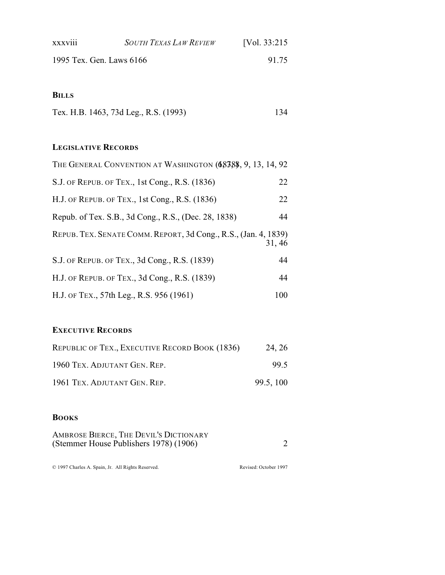| <b>XXXV111</b>           | <b>SOUTH TEXAS LAW REVIEW</b> | [Vol. 33:215] |
|--------------------------|-------------------------------|---------------|
| 1995 Tex. Gen. Laws 6166 |                               | 91 75         |

#### **BILLS**

| Tex. H.B. 1463, 73d Leg., R.S. (1993) |  |
|---------------------------------------|--|
|---------------------------------------|--|

## **LEGISLATIVE RECORDS**

| THE GENERAL CONVENTION AT WASHINGTON (68388, 9, 13, 14, 92)               |     |
|---------------------------------------------------------------------------|-----|
| S.J. OF REPUB. OF TEX., 1st Cong., R.S. (1836)                            | 22  |
| H.J. OF REPUB. OF TEX., 1st Cong., R.S. (1836)                            | 22  |
| Repub. of Tex. S.B., 3d Cong., R.S., (Dec. 28, 1838)                      | 44  |
| REPUB. TEX. SENATE COMM. REPORT, 3d Cong., R.S., (Jan. 4, 1839)<br>31, 46 |     |
| S.J. OF REPUB. OF TEX., 3d Cong., R.S. (1839)                             | 44  |
| H.J. OF REPUB. OF TEX., 3d Cong., R.S. (1839)                             | 44  |
| H.J. OF TEX., 57th Leg., R.S. 956 (1961)                                  | 100 |

## **EXECUTIVE RECORDS**

| REPUBLIC OF TEX., EXECUTIVE RECORD BOOK (1836) | 24, 26    |
|------------------------------------------------|-----------|
| 1960 TEX. ADJUTANT GEN. REP.                   | 99.5      |
| 1961 TEX. ADJUTANT GEN. REP.                   | 99.5, 100 |

### **BOOKS**

| AMBROSE BIERCE, THE DEVIL'S DICTIONARY |  |
|----------------------------------------|--|
| (Stemmer House Publishers 1978) (1906) |  |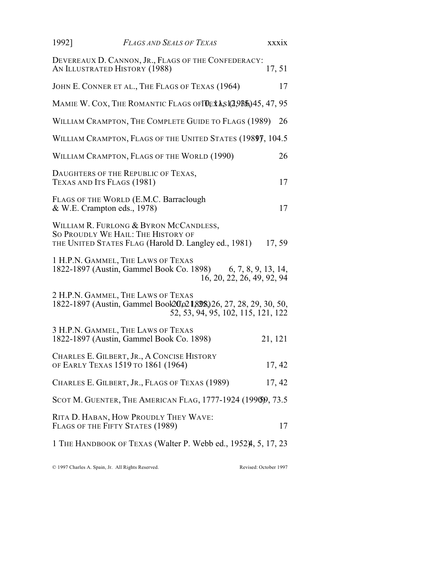| 1992] | <b>FLAGS AND SEALS OF TEXAS</b>                                                                                                                 | <b>XXXIX</b>                                      |
|-------|-------------------------------------------------------------------------------------------------------------------------------------------------|---------------------------------------------------|
|       | DEVEREAUX D. CANNON, JR., FLAGS OF THE CONFEDERACY:<br>AN ILLUSTRATED HISTORY (1988)                                                            | 17,51                                             |
|       | JOHN E. CONNER ET AL., THE FLAGS OF TEXAS (1964)                                                                                                | 17                                                |
|       | MAMIE W. COX, THE ROMANTIC FLAGS OF <b>TOEX A,S 1(2,9B5), 45, 47, 95</b>                                                                        |                                                   |
|       | WILLIAM CRAMPTON, THE COMPLETE GUIDE TO FLAGS (1989)                                                                                            | 26                                                |
|       | WILLIAM CRAMPTON, FLAGS OF THE UNITED STATES (1989), 104.5                                                                                      |                                                   |
|       | WILLIAM CRAMPTON, FLAGS OF THE WORLD (1990)                                                                                                     | 26                                                |
|       | DAUGHTERS OF THE REPUBLIC OF TEXAS,<br>TEXAS AND ITS FLAGS (1981)                                                                               | 17                                                |
|       | FLAGS OF THE WORLD (E.M.C. Barraclough<br>& W.E. Crampton eds., 1978)                                                                           | 17                                                |
|       | WILLIAM R. FURLONG & BYRON MCCANDLESS,<br>SO PROUDLY WE HAIL: THE HISTORY OF<br>THE UNITED STATES FLAG (Harold D. Langley ed., 1981)            | 17, 59                                            |
|       | 1 H.P.N. GAMMEL, THE LAWS OF TEXAS<br>1822-1897 (Austin, Gammel Book Co. 1898)                                                                  | 6, 7, 8, 9, 13, 14,<br>16, 20, 22, 26, 49, 92, 94 |
|       | 2 H.P.N. GAMMEL, THE LAWS OF TEXAS<br>1822-1897 (Austin, Gammel Book20, 021, 898, 26, 27, 28, 29, 30, 50,<br>52, 53, 94, 95, 102, 115, 121, 122 |                                                   |
|       | 3 H.P.N. GAMMEL, THE LAWS OF TEXAS<br>1822-1897 (Austin, Gammel Book Co. 1898)                                                                  | 21, 121                                           |
|       | CHARLES E. GILBERT, JR., A CONCISE HISTORY<br>OF EARLY TEXAS 1519 TO 1861 (1964)                                                                | 17, 42                                            |
|       | CHARLES E. GILBERT, JR., FLAGS OF TEXAS (1989)                                                                                                  | 17, 42                                            |
|       | SCOT M. GUENTER, THE AMERICAN FLAG, 1777-1924 (1996)9, 73.5                                                                                     |                                                   |
|       | RITA D. HABAN, HOW PROUDLY THEY WAVE:<br>FLAGS OF THE FIFTY STATES (1989)                                                                       | 17                                                |
|       | 1 THE HANDBOOK OF TEXAS (Walter P. Webb ed., 1952), 5, 17, 23                                                                                   |                                                   |
|       |                                                                                                                                                 |                                                   |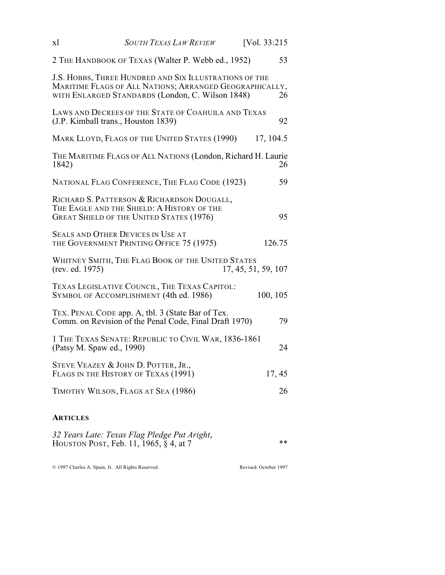| xl                        | <b>SOUTH TEXAS LAW REVIEW</b>                                                                                                                                         | [Vol. 33:215        |
|---------------------------|-----------------------------------------------------------------------------------------------------------------------------------------------------------------------|---------------------|
|                           | 2 THE HANDBOOK OF TEXAS (Walter P. Webb ed., 1952)                                                                                                                    | 53                  |
|                           | J.S. HOBBS, THREE HUNDRED AND SIX ILLUSTRATIONS OF THE<br>MARITIME FLAGS OF ALL NATIONS; ARRANGED GEOGRAPHICALLY,<br>WITH ENLARGED STANDARDS (London, C. Wilson 1848) | 26                  |
|                           | LAWS AND DECREES OF THE STATE OF COAHUILA AND TEXAS<br>(J.P. Kimball trans., Houston 1839)                                                                            | 92                  |
|                           | MARK LLOYD, FLAGS OF THE UNITED STATES (1990)                                                                                                                         | 17, 104.5           |
| 1842)                     | THE MARITIME FLAGS OF ALL NATIONS (London, Richard H. Laurie                                                                                                          | 26                  |
|                           | NATIONAL FLAG CONFERENCE, THE FLAG CODE (1923)                                                                                                                        | 59                  |
|                           | RICHARD S. PATTERSON & RICHARDSON DOUGALL,<br>THE EAGLE AND THE SHIELD: A HISTORY OF THE<br><b>GREAT SHIELD OF THE UNITED STATES (1976)</b>                           | 95                  |
|                           | SEALS AND OTHER DEVICES IN USE AT<br>THE GOVERNMENT PRINTING OFFICE 75 (1975)                                                                                         | 126.75              |
| (rev. ed. 1975)           | WHITNEY SMITH, THE FLAG BOOK OF THE UNITED STATES                                                                                                                     | 17, 45, 51, 59, 107 |
|                           | TEXAS LEGISLATIVE COUNCIL, THE TEXAS CAPITOL:<br>SYMBOL OF ACCOMPLISHMENT (4th ed. 1986)                                                                              | 100, 105            |
|                           | TEX. PENAL CODE app. A, tbl. 3 (State Bar of Tex.<br>Comm. on Revision of the Penal Code, Final Draft 1970)                                                           | 79                  |
| (Patsy M. Spaw ed., 1990) | 1 THE TEXAS SENATE: REPUBLIC TO CIVIL WAR, 1836-1861                                                                                                                  | 24                  |
|                           | STEVE VEAZEY & JOHN D. POTTER, JR.,<br>FLAGS IN THE HISTORY OF TEXAS (1991)                                                                                           | 17, 45              |
|                           | TIMOTHY WILSON, FLAGS AT SEA (1986)                                                                                                                                   | 26                  |
|                           |                                                                                                                                                                       |                     |

## **ARTICLES**

| 32 Years Late: Texas Flag Pledge Put Aright, |    |
|----------------------------------------------|----|
| HOUSTON POST, Feb. 11, 1965, § 4, at 7       | ** |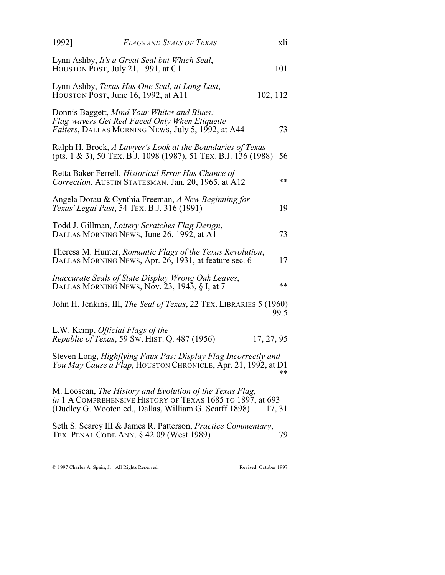| 1992] | <b>FLAGS AND SEALS OF TEXAS</b>                                                                                                                    | xli        |
|-------|----------------------------------------------------------------------------------------------------------------------------------------------------|------------|
|       | Lynn Ashby, It's a Great Seal but Which Seal,<br>HOUSTON POST, July 21, 1991, at C1                                                                | 101        |
|       | Lynn Ashby, Texas Has One Seal, at Long Last,<br>HOUSTON POST, June 16, 1992, at A11                                                               | 102, 112   |
|       | Donnis Baggett, Mind Your Whites and Blues:<br>Flag-wavers Get Red-Faced Only When Etiquette<br>Falters, DALLAS MORNING NEWS, July 5, 1992, at A44 | 73         |
|       | Ralph H. Brock, A Lawyer's Look at the Boundaries of Texas<br>(pts. 1 & 3), 50 TEX. B.J. 1098 (1987), 51 TEX. B.J. 136 (1988)                      | 56         |
|       | Retta Baker Ferrell, Historical Error Has Chance of<br>Correction, AUSTIN STATESMAN, Jan. 20, 1965, at A12                                         | **         |
|       | Angela Dorau & Cynthia Freeman, A New Beginning for<br>Texas' Legal Past, 54 TEX. B.J. 316 (1991)                                                  | 19         |
|       | Todd J. Gillman, Lottery Scratches Flag Design,<br>DALLAS MORNING NEWS, June 26, 1992, at A1                                                       | 73         |
|       | Theresa M. Hunter, Romantic Flags of the Texas Revolution,<br>DALLAS MORNING NEWS, Apr. 26, 1931, at feature sec. 6                                | 17         |
|       | Inaccurate Seals of State Display Wrong Oak Leaves,<br>DALLAS MORNING NEWS, Nov. 23, 1943, § I, at 7                                               | $**$       |
|       | John H. Jenkins, III, The Seal of Texas, 22 TEX. LIBRARIES 5 (1960)                                                                                | 99.5       |
|       | L.W. Kemp, Official Flags of the<br>Republic of Texas, 59 Sw. HIST. Q. 487 (1956)                                                                  | 17, 27, 95 |
|       | Steven Long, Highflying Faux Pas: Display Flag Incorrectly and<br>You May Cause a Flap, HOUSTON CHRONICLE, Apr. 21, 1992, at D1                    | **         |
|       | M. Looscan, The History and Evolution of the Texas Flag,                                                                                           |            |

*in* 1 A COMPREHENSIVE HISTORY OF TEXAS 1685 TO 1897, at 693 (Dudley G. Wooten ed., Dallas, William G. Scarff 1898) 17, 31

Seth S. Searcy III & James R. Patterson, *Practice Commentary*, TEX. PENAL CODE ANN. § 42.09 (West 1989) 79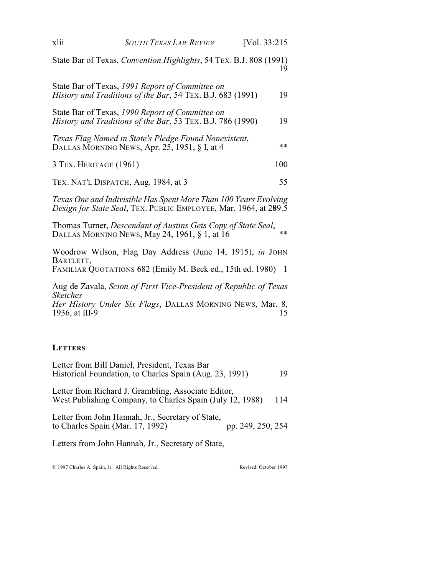| xlii                              | <b>SOUTH TEXAS LAW REVIEW</b>                                                                                                        | [Vol. $33:215$ |
|-----------------------------------|--------------------------------------------------------------------------------------------------------------------------------------|----------------|
|                                   | State Bar of Texas, <i>Convention Highlights</i> , 54 TEX. B.J. 808 (1991)                                                           | 19             |
|                                   | State Bar of Texas, 1991 Report of Committee on<br>History and Traditions of the Bar, 54 TEX. B.J. 683 (1991)                        | 19             |
|                                   | State Bar of Texas, 1990 Report of Committee on<br><i>History and Traditions of the Bar, 53 TEX. B.J. 786 (1990)</i>                 | 19             |
|                                   | Texas Flag Named in State's Pledge Found Nonexistent,<br>DALLAS MORNING NEWS, Apr. 25, 1951, § I, at 4                               | **             |
| 3 TEX. HERITAGE (1961)            |                                                                                                                                      | 100            |
|                                   | TEX. NAT'L DISPATCH, Aug. 1984, at 3                                                                                                 | 55             |
|                                   | Texas One and Indivisible Has Spent More Than 100 Years Evolving<br>Design for State Seal, TEX. PUBLIC EMPLOYEE, Mar. 1964, at 299.5 |                |
|                                   | Thomas Turner, Descendant of Austins Gets Copy of State Seal,<br>DALLAS MORNING NEWS, May 24, 1961, § 1, at 16                       | **             |
| BARTLETT,                         | Woodrow Wilson, Flag Day Address (June 14, 1915), in JOHN<br>FAMILIAR QUOTATIONS 682 (Emily M. Beck ed., 15th ed. 1980)              | $\overline{1}$ |
| <b>Sketches</b><br>1936, at III-9 | Aug de Zavala, Scion of First Vice-President of Republic of Texas<br>Her History Under Six Flags, DALLAS MORNING NEWS, Mar. 8,       | 15             |
| <b>LETTERS</b>                    |                                                                                                                                      |                |
|                                   | Letter from Bill Daniel, President, Texas Bar                                                                                        |                |

Historical Foundation, to Charles Spain (Aug. 23, 1991) 19 Letter from Richard J. Grambling, Associate Editor, West Publishing Company, to Charles Spain (July 12, 1988) 114

Letter from John Hannah, Jr., Secretary of State, to Charles Spain (Mar. 17, 1992) pp. 249, 250, 254

Letters from John Hannah, Jr., Secretary of State,